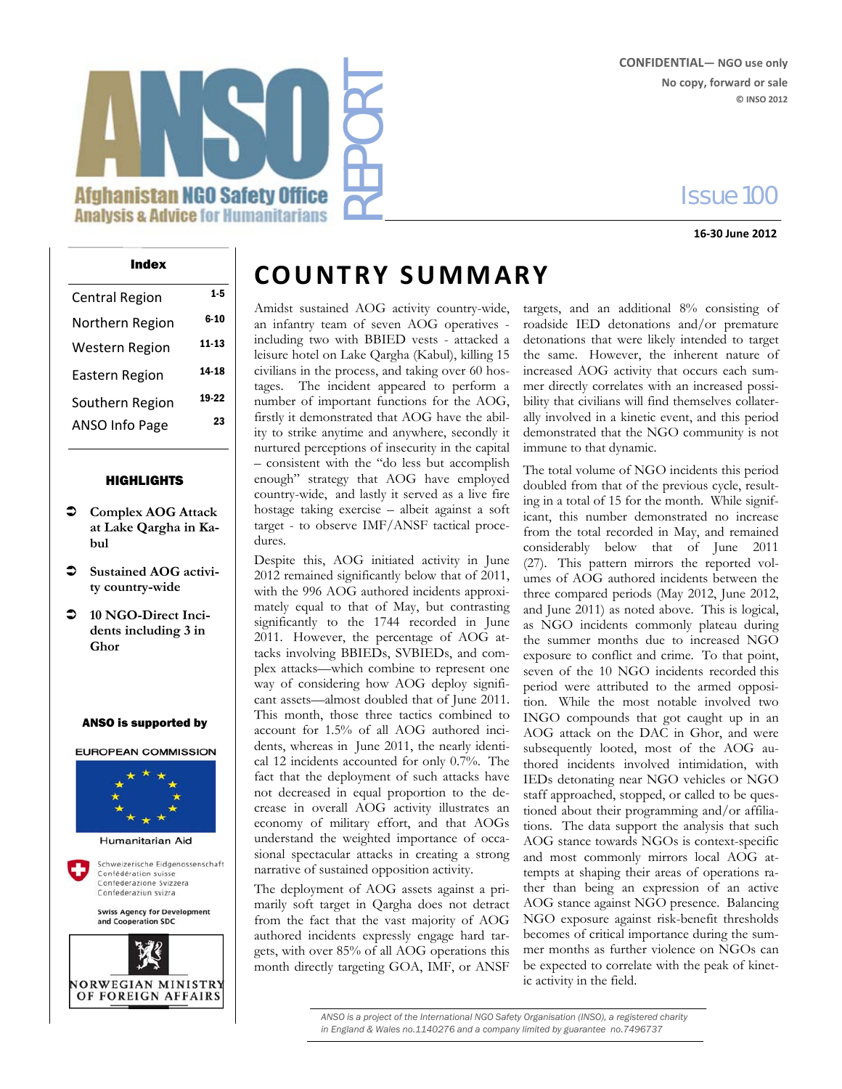#### **CONFIDENTIAL— NGO use only No copy, forward or sale © INSO 2012**

## Issue 100

**16‐30 June 2012**

# REPORT **Afghanistan NGO Safety Office Analysis & Advice for Humanitarians**

## Central Region Northern Region 6-10 Western Region 11-13 Eastern Region 14-18 Southern Region 19-22 ANSO Info Page 23

#### HIGHLIGHTS

- **Complex AOG Attack at Lake Qargha in Kabul**
- $\supset$  Sustained AOG activi**ty country-wide**
- **10 NGO-Direct Incidents including 3 in Ghor**

#### ANSO is supported by

**EUROPEAN COMMISSION** 



Schweizerische Eidgenossenschaft Confédération suisse Confederazione Svizzera Confederaziun svizra

> **Swiss Agency for Development** and Cooperation SDC



## $\frac{Index}{E^{2}}$  **COUNTRY SUMMARY**

Amidst sustained AOG activity country-wide, an infantry team of seven AOG operatives including two with BBIED vests - attacked a leisure hotel on Lake Qargha (Kabul), killing 15 civilians in the process, and taking over 60 hostages. The incident appeared to perform a number of important functions for the AOG, firstly it demonstrated that AOG have the ability to strike anytime and anywhere, secondly it nurtured perceptions of insecurity in the capital – consistent with the "do less but accomplish enough" strategy that AOG have employed country-wide, and lastly it served as a live fire hostage taking exercise – albeit against a soft target - to observe IMF/ANSF tactical procedures.

Despite this, AOG initiated activity in June 2012 remained significantly below that of 2011, with the 996 AOG authored incidents approximately equal to that of May, but contrasting significantly to the 1744 recorded in June 2011. However, the percentage of AOG attacks involving BBIEDs, SVBIEDs, and complex attacks—which combine to represent one way of considering how AOG deploy significant assets—almost doubled that of June 2011. This month, those three tactics combined to account for 1.5% of all AOG authored incidents, whereas in June 2011, the nearly identical 12 incidents accounted for only 0.7%. The fact that the deployment of such attacks have not decreased in equal proportion to the decrease in overall AOG activity illustrates an economy of military effort, and that AOGs understand the weighted importance of occasional spectacular attacks in creating a strong narrative of sustained opposition activity.

The deployment of AOG assets against a primarily soft target in Qargha does not detract from the fact that the vast majority of AOG authored incidents expressly engage hard targets, with over 85% of all AOG operations this month directly targeting GOA, IMF, or ANSF

targets, and an additional 8% consisting of roadside IED detonations and/or premature detonations that were likely intended to target the same. However, the inherent nature of increased AOG activity that occurs each summer directly correlates with an increased possibility that civilians will find themselves collaterally involved in a kinetic event, and this period demonstrated that the NGO community is not immune to that dynamic.

The total volume of NGO incidents this period doubled from that of the previous cycle, resulting in a total of 15 for the month. While significant, this number demonstrated no increase from the total recorded in May, and remained considerably below that of June 2011 (27). This pattern mirrors the reported volumes of AOG authored incidents between the three compared periods (May 2012, June 2012, and June 2011) as noted above. This is logical, as NGO incidents commonly plateau during the summer months due to increased NGO exposure to conflict and crime. To that point, seven of the 10 NGO incidents recorded this period were attributed to the armed opposition. While the most notable involved two INGO compounds that got caught up in an AOG attack on the DAC in Ghor, and were subsequently looted, most of the AOG authored incidents involved intimidation, with IEDs detonating near NGO vehicles or NGO staff approached, stopped, or called to be questioned about their programming and/or affiliations. The data support the analysis that such AOG stance towards NGOs is context-specific and most commonly mirrors local AOG attempts at shaping their areas of operations rather than being an expression of an active AOG stance against NGO presence. Balancing NGO exposure against risk-benefit thresholds becomes of critical importance during the summer months as further violence on NGOs can be expected to correlate with the peak of kinetic activity in the field.

*ANSO is a project of the International NGO Safety Organisation (INSO), a registered charity in England & Wales no.1140276 and a company limited by guarantee no.7496737*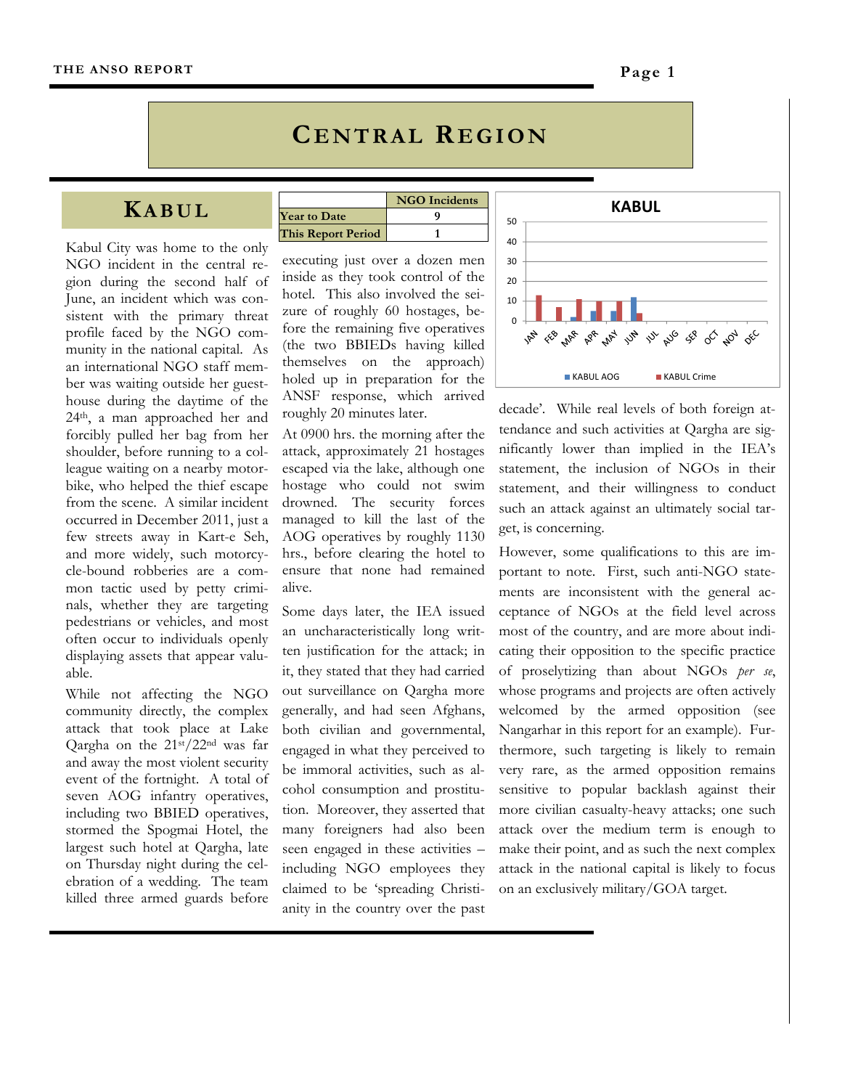## **C ENTRAL REGION**

## **KABUL**

Kabul City was home to the only NGO incident in the central region during the second half of June, an incident which was consistent with the primary threat profile faced by the NGO community in the national capital. As an international NGO staff member was waiting outside her guesthouse during the daytime of the 24th, a man approached her and forcibly pulled her bag from her shoulder, before running to a colleague waiting on a nearby motorbike, who helped the thief escape from the scene. A similar incident occurred in December 2011, just a few streets away in Kart-e Seh, and more widely, such motorcycle-bound robberies are a common tactic used by petty criminals, whether they are targeting pedestrians or vehicles, and most often occur to individuals openly displaying assets that appear valuable.

While not affecting the NGO community directly, the complex attack that took place at Lake Qargha on the 21st/22nd was far and away the most violent security event of the fortnight. A total of seven AOG infantry operatives, including two BBIED operatives, stormed the Spogmai Hotel, the largest such hotel at Qargha, late on Thursday night during the celebration of a wedding. The team killed three armed guards before

|                           | <b>NGO</b> Incidents |
|---------------------------|----------------------|
| <b>Year to Date</b>       |                      |
| <b>This Report Period</b> |                      |

executing just over a dozen men inside as they took control of the hotel. This also involved the seizure of roughly 60 hostages, before the remaining five operatives (the two BBIEDs having killed themselves on the approach) holed up in preparation for the ANSF response, which arrived roughly 20 minutes later.

At 0900 hrs. the morning after the attack, approximately 21 hostages escaped via the lake, although one hostage who could not swim drowned. The security forces managed to kill the last of the AOG operatives by roughly 1130 hrs., before clearing the hotel to ensure that none had remained alive.

Some days later, the IEA issued an uncharacteristically long written justification for the attack; in it, they stated that they had carried out surveillance on Qargha more generally, and had seen Afghans, both civilian and governmental, engaged in what they perceived to be immoral activities, such as alcohol consumption and prostitution. Moreover, they asserted that many foreigners had also been seen engaged in these activities – including NGO employees they claimed to be 'spreading Christianity in the country over the past



decade'. While real levels of both foreign attendance and such activities at Qargha are significantly lower than implied in the IEA's statement, the inclusion of NGOs in their statement, and their willingness to conduct such an attack against an ultimately social target, is concerning.

However, some qualifications to this are important to note. First, such anti-NGO statements are inconsistent with the general acceptance of NGOs at the field level across most of the country, and are more about indicating their opposition to the specific practice of proselytizing than about NGOs *per se*, whose programs and projects are often actively welcomed by the armed opposition (see Nangarhar in this report for an example). Furthermore, such targeting is likely to remain very rare, as the armed opposition remains sensitive to popular backlash against their more civilian casualty-heavy attacks; one such attack over the medium term is enough to make their point, and as such the next complex attack in the national capital is likely to focus on an exclusively military/GOA target.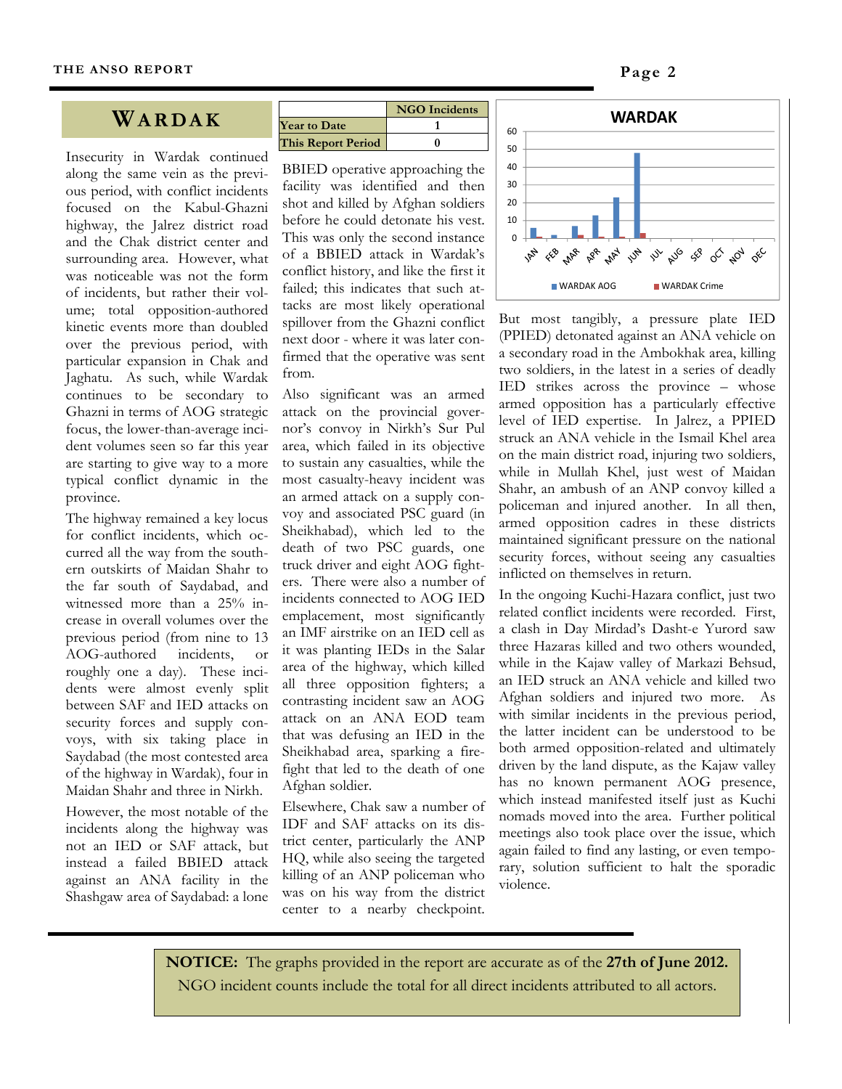## **WARDAK**

Insecurity in Wardak continued along the same vein as the previous period, with conflict incidents focused on the Kabul-Ghazni highway, the Jalrez district road and the Chak district center and surrounding area. However, what was noticeable was not the form of incidents, but rather their volume; total opposition-authored kinetic events more than doubled over the previous period, with particular expansion in Chak and Jaghatu. As such, while Wardak continues to be secondary to Ghazni in terms of AOG strategic focus, the lower-than-average incident volumes seen so far this year are starting to give way to a more typical conflict dynamic in the province.

The highway remained a key locus for conflict incidents, which occurred all the way from the southern outskirts of Maidan Shahr to the far south of Saydabad, and witnessed more than a 25% increase in overall volumes over the previous period (from nine to 13 AOG-authored incidents, or roughly one a day). These incidents were almost evenly split between SAF and IED attacks on security forces and supply convoys, with six taking place in Saydabad (the most contested area of the highway in Wardak), four in Maidan Shahr and three in Nirkh.

However, the most notable of the incidents along the highway was not an IED or SAF attack, but instead a failed BBIED attack against an ANA facility in the Shashgaw area of Saydabad: a lone

|                           | <b>NGO</b> Incidents |
|---------------------------|----------------------|
| <b>Year to Date</b>       |                      |
| <b>This Report Period</b> |                      |

BBIED operative approaching the facility was identified and then shot and killed by Afghan soldiers before he could detonate his vest. This was only the second instance of a BBIED attack in Wardak's conflict history, and like the first it failed; this indicates that such attacks are most likely operational spillover from the Ghazni conflict next door - where it was later confirmed that the operative was sent from.

Also significant was an armed attack on the provincial governor's convoy in Nirkh's Sur Pul area, which failed in its objective to sustain any casualties, while the most casualty-heavy incident was an armed attack on a supply convoy and associated PSC guard (in Sheikhabad), which led to the death of two PSC guards, one truck driver and eight AOG fighters. There were also a number of incidents connected to AOG IED emplacement, most significantly an IMF airstrike on an IED cell as it was planting IEDs in the Salar area of the highway, which killed all three opposition fighters; a contrasting incident saw an AOG attack on an ANA EOD team that was defusing an IED in the Sheikhabad area, sparking a firefight that led to the death of one Afghan soldier.

Elsewhere, Chak saw a number of IDF and SAF attacks on its district center, particularly the ANP HQ, while also seeing the targeted killing of an ANP policeman who was on his way from the district center to a nearby checkpoint.



But most tangibly, a pressure plate IED (PPIED) detonated against an ANA vehicle on a secondary road in the Ambokhak area, killing two soldiers, in the latest in a series of deadly IED strikes across the province – whose armed opposition has a particularly effective level of IED expertise. In Jalrez, a PPIED struck an ANA vehicle in the Ismail Khel area on the main district road, injuring two soldiers, while in Mullah Khel, just west of Maidan Shahr, an ambush of an ANP convoy killed a policeman and injured another. In all then, armed opposition cadres in these districts maintained significant pressure on the national security forces, without seeing any casualties inflicted on themselves in return.

In the ongoing Kuchi-Hazara conflict, just two related conflict incidents were recorded. First, a clash in Day Mirdad's Dasht-e Yurord saw three Hazaras killed and two others wounded, while in the Kajaw valley of Markazi Behsud, an IED struck an ANA vehicle and killed two Afghan soldiers and injured two more. As with similar incidents in the previous period, the latter incident can be understood to be both armed opposition-related and ultimately driven by the land dispute, as the Kajaw valley has no known permanent AOG presence, which instead manifested itself just as Kuchi nomads moved into the area. Further political meetings also took place over the issue, which again failed to find any lasting, or even temporary, solution sufficient to halt the sporadic violence.

**NOTICE:** The graphs provided in the report are accurate as of the **27th of June 2012.**  NGO incident counts include the total for all direct incidents attributed to all actors.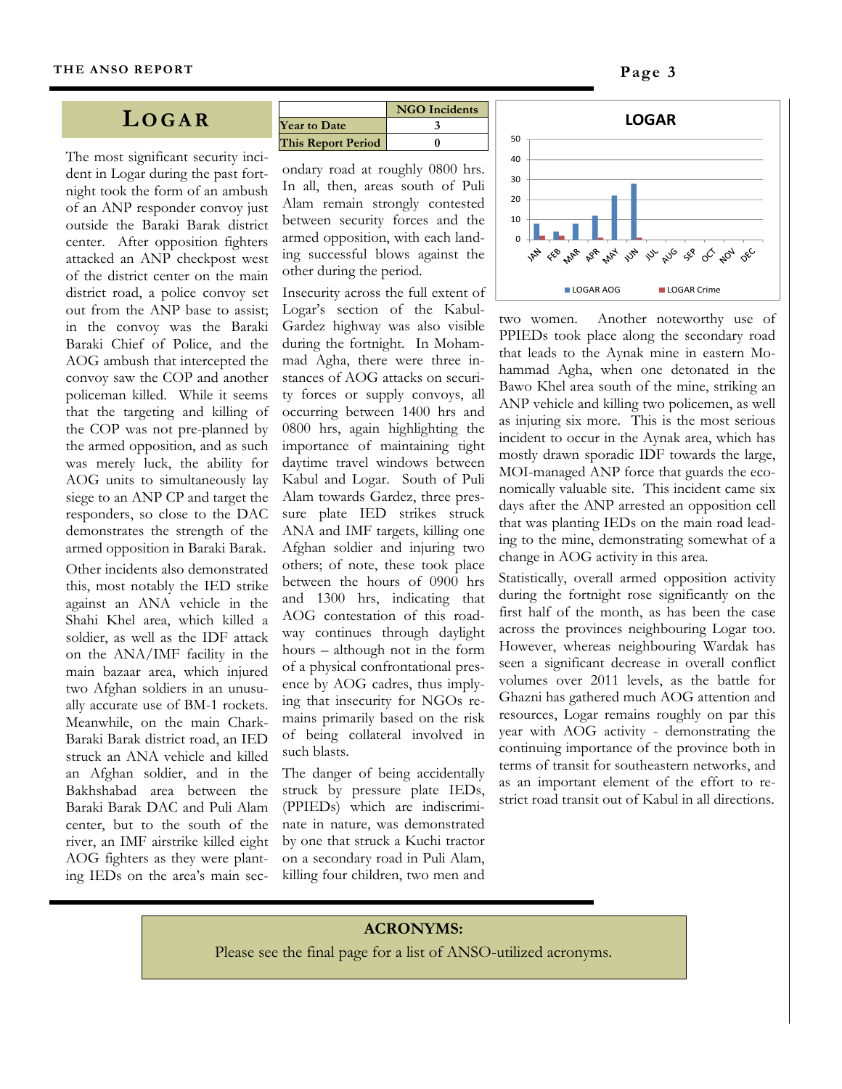## **LOGAR**

The most significant security incident in Logar during the past fortnight took the form of an ambush of an ANP responder convoy just outside the Baraki Barak district center. After opposition fighters attacked an ANP checkpost west of the district center on the main district road, a police convoy set out from the ANP base to assist; in the convoy was the Baraki Baraki Chief of Police, and the AOG ambush that intercepted the convoy saw the COP and another policeman killed. While it seems that the targeting and killing of the COP was not pre-planned by the armed opposition, and as such was merely luck, the ability for AOG units to simultaneously lay siege to an ANP CP and target the responders, so close to the DAC demonstrates the strength of the armed opposition in Baraki Barak.

Other incidents also demonstrated this, most notably the IED strike against an ANA vehicle in the Shahi Khel area, which killed a soldier, as well as the IDF attack on the ANA/IMF facility in the main bazaar area, which injured two Afghan soldiers in an unusually accurate use of BM-1 rockets. Meanwhile, on the main Chark-Baraki Barak district road, an IED struck an ANA vehicle and killed an Afghan soldier, and in the Bakhshabad area between the Baraki Barak DAC and Puli Alam center, but to the south of the river, an IMF airstrike killed eight AOG fighters as they were planting IEDs on the area's main sec-

|                           | <b>NGO</b> Incidents |
|---------------------------|----------------------|
| <b>Year to Date</b>       |                      |
| <b>This Report Period</b> |                      |

ondary road at roughly 0800 hrs. In all, then, areas south of Puli Alam remain strongly contested between security forces and the armed opposition, with each landing successful blows against the other during the period.

Insecurity across the full extent of Logar's section of the Kabul-Gardez highway was also visible during the fortnight. In Mohammad Agha, there were three instances of AOG attacks on security forces or supply convoys, all occurring between 1400 hrs and 0800 hrs, again highlighting the importance of maintaining tight daytime travel windows between Kabul and Logar. South of Puli Alam towards Gardez, three pressure plate IED strikes struck ANA and IMF targets, killing one Afghan soldier and injuring two others; of note, these took place between the hours of 0900 hrs and 1300 hrs, indicating that AOG contestation of this roadway continues through daylight hours – although not in the form of a physical confrontational presence by AOG cadres, thus implying that insecurity for NGOs remains primarily based on the risk of being collateral involved in such blasts.

The danger of being accidentally struck by pressure plate IEDs, (PPIEDs) which are indiscriminate in nature, was demonstrated by one that struck a Kuchi tractor on a secondary road in Puli Alam, killing four children, two men and



two women. Another noteworthy use of PPIEDs took place along the secondary road that leads to the Aynak mine in eastern Mohammad Agha, when one detonated in the Bawo Khel area south of the mine, striking an ANP vehicle and killing two policemen, as well as injuring six more. This is the most serious incident to occur in the Aynak area, which has mostly drawn sporadic IDF towards the large, MOI-managed ANP force that guards the economically valuable site. This incident came six days after the ANP arrested an opposition cell that was planting IEDs on the main road leading to the mine, demonstrating somewhat of a change in AOG activity in this area.

Statistically, overall armed opposition activity during the fortnight rose significantly on the first half of the month, as has been the case across the provinces neighbouring Logar too. However, whereas neighbouring Wardak has seen a significant decrease in overall conflict volumes over 2011 levels, as the battle for Ghazni has gathered much AOG attention and resources, Logar remains roughly on par this year with AOG activity - demonstrating the continuing importance of the province both in terms of transit for southeastern networks, and as an important element of the effort to restrict road transit out of Kabul in all directions.

#### **ACRONYMS:**

Please see the final page for a list of ANSO-utilized acronyms.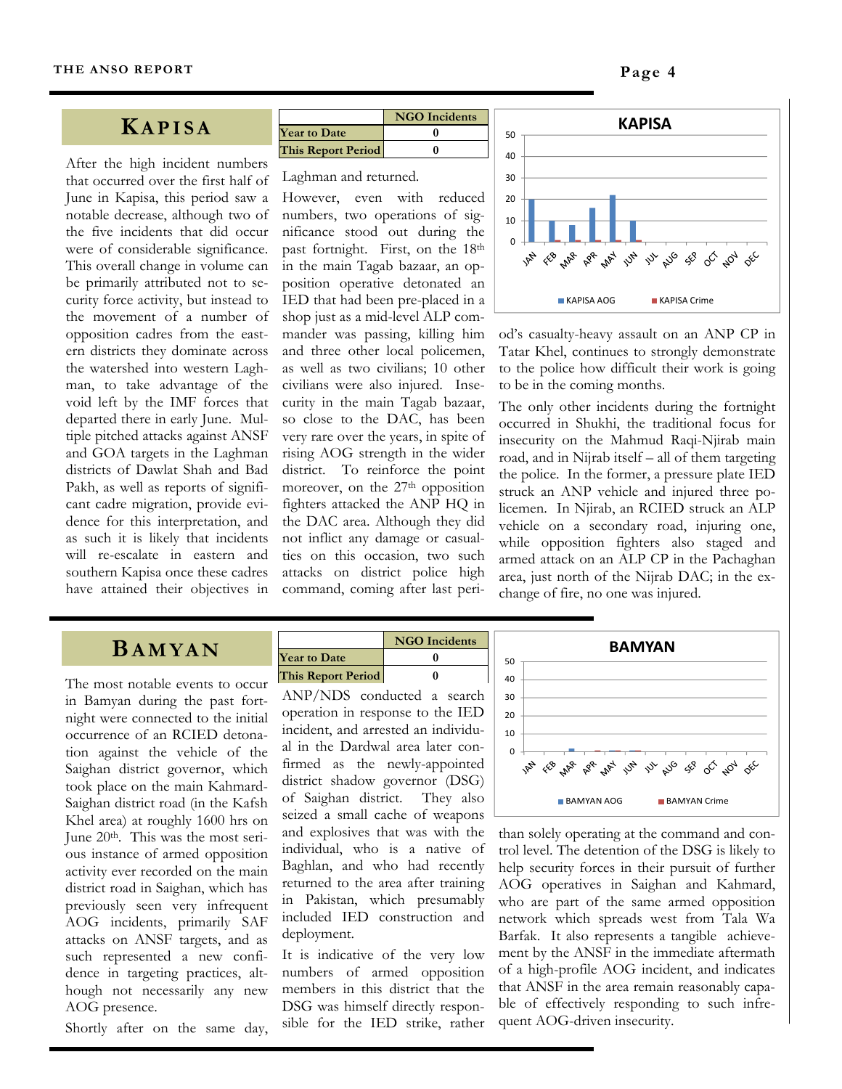#### **KAPISA**

After the high incident numbers that occurred over the first half of June in Kapisa, this period saw a notable decrease, although two of the five incidents that did occur were of considerable significance. This overall change in volume can be primarily attributed not to security force activity, but instead to the movement of a number of opposition cadres from the eastern districts they dominate across the watershed into western Laghman, to take advantage of the void left by the IMF forces that departed there in early June. Multiple pitched attacks against ANSF and GOA targets in the Laghman districts of Dawlat Shah and Bad Pakh, as well as reports of significant cadre migration, provide evidence for this interpretation, and as such it is likely that incidents will re-escalate in eastern and southern Kapisa once these cadres have attained their objectives in

|                           | <b>NGO</b> Incidents |
|---------------------------|----------------------|
| <b>Year to Date</b>       |                      |
| <b>This Report Period</b> |                      |

#### Laghman and returned.

However, even with reduced numbers, two operations of significance stood out during the past fortnight. First, on the 18th in the main Tagab bazaar, an opposition operative detonated an IED that had been pre-placed in a shop just as a mid-level ALP commander was passing, killing him and three other local policemen, as well as two civilians; 10 other civilians were also injured. Insecurity in the main Tagab bazaar, so close to the DAC, has been very rare over the years, in spite of rising AOG strength in the wider district. To reinforce the point moreover, on the 27<sup>th</sup> opposition fighters attacked the ANP HQ in the DAC area. Although they did not inflict any damage or casualties on this occasion, two such attacks on district police high command, coming after last peri-



od's casualty-heavy assault on an ANP CP in Tatar Khel, continues to strongly demonstrate to the police how difficult their work is going to be in the coming months.

The only other incidents during the fortnight occurred in Shukhi, the traditional focus for insecurity on the Mahmud Raqi-Njirab main road, and in Nijrab itself – all of them targeting the police. In the former, a pressure plate IED struck an ANP vehicle and injured three policemen. In Njirab, an RCIED struck an ALP vehicle on a secondary road, injuring one, while opposition fighters also staged and armed attack on an ALP CP in the Pachaghan area, just north of the Nijrab DAC; in the exchange of fire, no one was injured.

#### **BAMYAN**

The most notable events to occur in Bamyan during the past fortnight were connected to the initial occurrence of an RCIED detonation against the vehicle of the Saighan district governor, which took place on the main Kahmard-Saighan district road (in the Kafsh Khel area) at roughly 1600 hrs on June 20th. This was the most serious instance of armed opposition activity ever recorded on the main district road in Saighan, which has previously seen very infrequent AOG incidents, primarily SAF attacks on ANSF targets, and as such represented a new confidence in targeting practices, although not necessarily any new AOG presence.

Shortly after on the same day,

|                           | <b>NGO</b> Incidents |
|---------------------------|----------------------|
| <b>Year to Date</b>       |                      |
| <b>This Report Period</b> |                      |
|                           |                      |

ANP/NDS conducted a search operation in response to the IED incident, and arrested an individual in the Dardwal area later confirmed as the newly-appointed district shadow governor (DSG) of Saighan district. They also seized a small cache of weapons and explosives that was with the individual, who is a native of Baghlan, and who had recently returned to the area after training in Pakistan, which presumably included IED construction and deployment.

It is indicative of the very low numbers of armed opposition members in this district that the DSG was himself directly responsible for the IED strike, rather



than solely operating at the command and control level. The detention of the DSG is likely to help security forces in their pursuit of further AOG operatives in Saighan and Kahmard, who are part of the same armed opposition network which spreads west from Tala Wa Barfak. It also represents a tangible achievement by the ANSF in the immediate aftermath of a high-profile AOG incident, and indicates that ANSF in the area remain reasonably capable of effectively responding to such infrequent AOG-driven insecurity.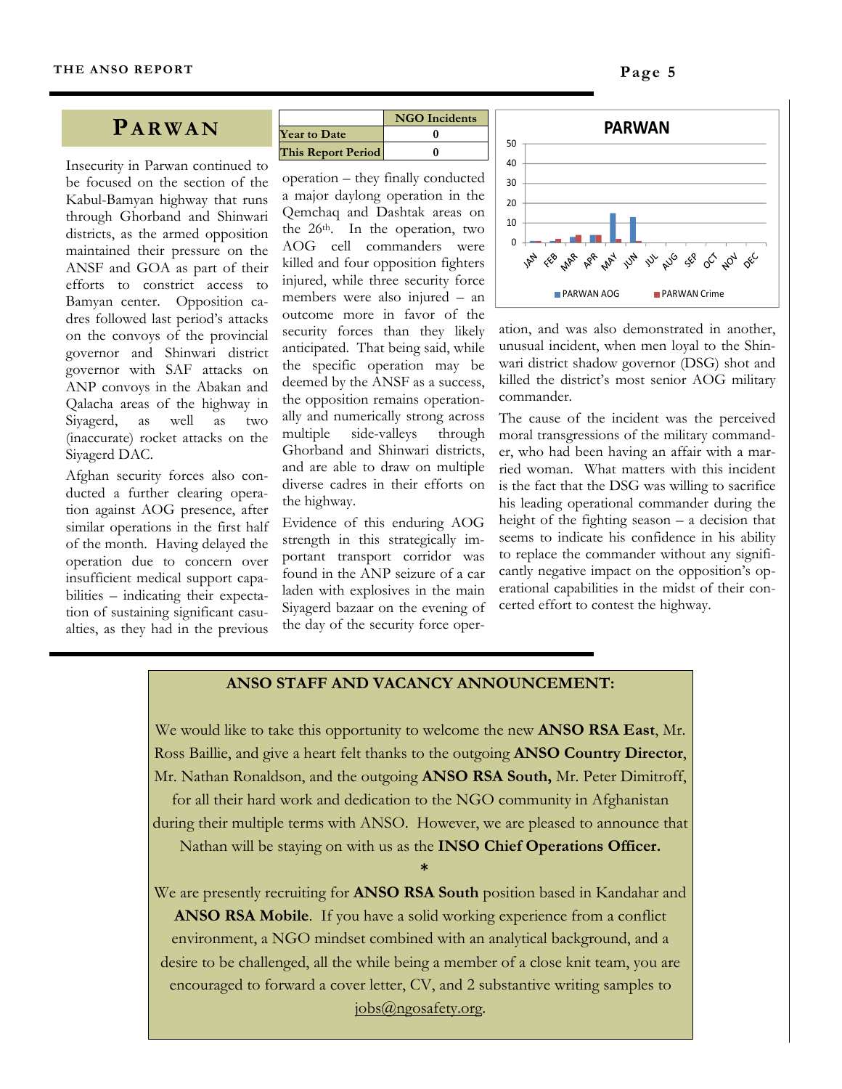#### **PARWAN**

Insecurity in Parwan continued to be focused on the section of the Kabul-Bamyan highway that runs through Ghorband and Shinwari districts, as the armed opposition maintained their pressure on the ANSF and GOA as part of their efforts to constrict access to Bamyan center. Opposition cadres followed last period's attacks on the convoys of the provincial governor and Shinwari district governor with SAF attacks on ANP convoys in the Abakan and Qalacha areas of the highway in Siyagerd, as well as two (inaccurate) rocket attacks on the Siyagerd DAC.

Afghan security forces also conducted a further clearing operation against AOG presence, after similar operations in the first half of the month. Having delayed the operation due to concern over insufficient medical support capabilities – indicating their expectation of sustaining significant casualties, as they had in the previous

|                           | <b>NGO</b> Incidents |
|---------------------------|----------------------|
| <b>Year to Date</b>       |                      |
| <b>This Report Period</b> |                      |

operation – they finally conducted a major daylong operation in the Qemchaq and Dashtak areas on the 26th. In the operation, two AOG cell commanders were killed and four opposition fighters injured, while three security force members were also injured – an outcome more in favor of the security forces than they likely anticipated. That being said, while the specific operation may be deemed by the ANSF as a success, the opposition remains operationally and numerically strong across multiple side-valleys through Ghorband and Shinwari districts, and are able to draw on multiple diverse cadres in their efforts on the highway.

Evidence of this enduring AOG strength in this strategically important transport corridor was found in the ANP seizure of a car laden with explosives in the main Siyagerd bazaar on the evening of the day of the security force oper-



ation, and was also demonstrated in another, unusual incident, when men loyal to the Shinwari district shadow governor (DSG) shot and killed the district's most senior AOG military commander.

The cause of the incident was the perceived moral transgressions of the military commander, who had been having an affair with a married woman. What matters with this incident is the fact that the DSG was willing to sacrifice his leading operational commander during the height of the fighting season – a decision that seems to indicate his confidence in his ability to replace the commander without any significantly negative impact on the opposition's operational capabilities in the midst of their concerted effort to contest the highway.

#### **ANSO STAFF AND VACANCY ANNOUNCEMENT:**

We would like to take this opportunity to welcome the new **ANSO RSA East**, Mr. Ross Baillie, and give a heart felt thanks to the outgoing **ANSO Country Director**, Mr. Nathan Ronaldson, and the outgoing **ANSO RSA South,** Mr. Peter Dimitroff,

for all their hard work and dedication to the NGO community in Afghanistan during their multiple terms with ANSO. However, we are pleased to announce that

Nathan will be staying on with us as the **INSO Chief Operations Officer.**

 **\*** 

We are presently recruiting for **ANSO RSA South** position based in Kandahar and **ANSO RSA Mobile**. If you have a solid working experience from a conflict environment, a NGO mindset combined with an analytical background, and a desire to be challenged, all the while being a member of a close knit team, you are encouraged to forward a cover letter, CV, and 2 substantive writing samples to jobs@ngosafety.org.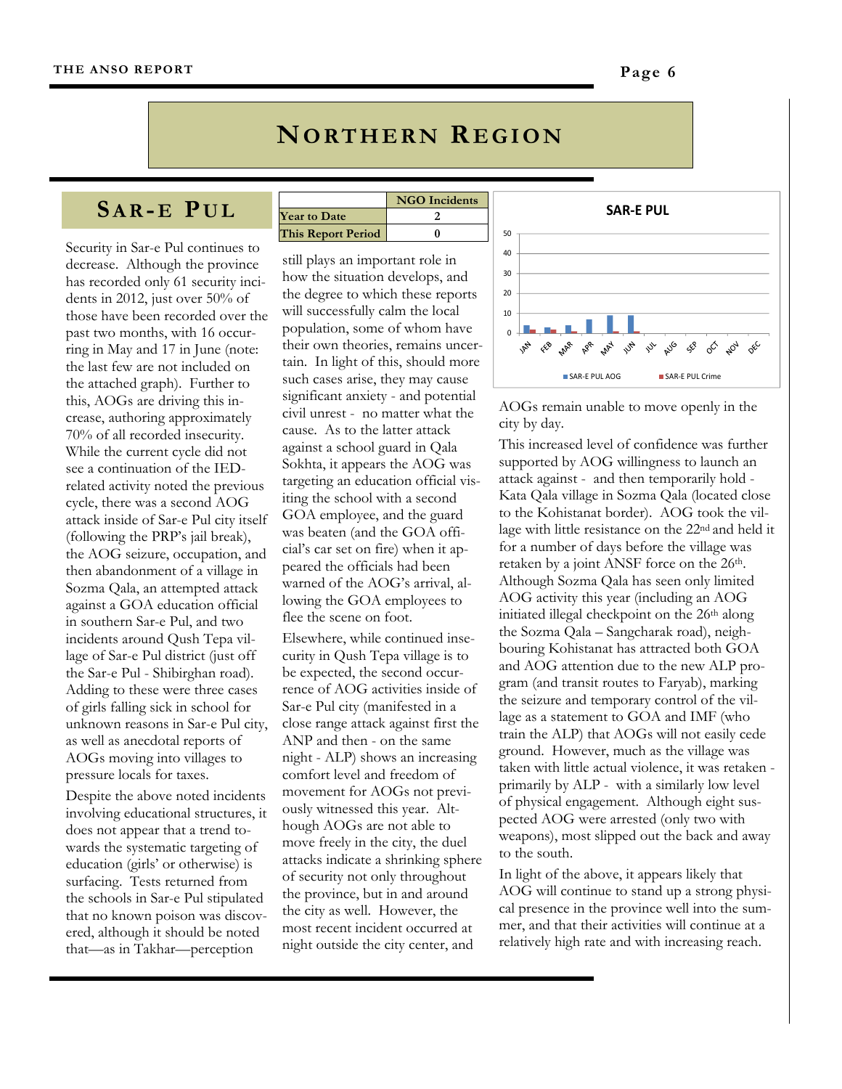## **NORTHERN REGION**

**NGO Incidents**

## **SA R- E P U L**

Security in Sar-e Pul continues to decrease. Although the province has recorded only 61 security incidents in 2012, just over 50% of those have been recorded over the past two months, with 16 occurring in May and 17 in June (note: the last few are not included on the attached graph). Further to this, AOGs are driving this increase, authoring approximately 70% of all recorded insecurity. While the current cycle did not see a continuation of the IEDrelated activity noted the previous cycle, there was a second AOG attack inside of Sar-e Pul city itself (following the PRP's jail break), the AOG seizure, occupation, and then abandonment of a village in Sozma Qala, an attempted attack against a GOA education official in southern Sar-e Pul, and two incidents around Qush Tepa village of Sar-e Pul district (just off the Sar-e Pul - Shibirghan road). Adding to these were three cases of girls falling sick in school for unknown reasons in Sar-e Pul city, as well as anecdotal reports of AOGs moving into villages to pressure locals for taxes.

Despite the above noted incidents involving educational structures, it does not appear that a trend towards the systematic targeting of education (girls' or otherwise) is surfacing. Tests returned from the schools in Sar-e Pul stipulated that no known poison was discovered, although it should be noted that—as in Takhar—perception

|                     | <b>NGO</b> Inciden |
|---------------------|--------------------|
| <b>Year to Date</b> |                    |
| This Report Period  |                    |

still plays an important role in how the situation develops, and the degree to which these reports will successfully calm the local population, some of whom have their own theories, remains uncertain. In light of this, should more such cases arise, they may cause significant anxiety - and potential civil unrest - no matter what the cause. As to the latter attack against a school guard in Qala Sokhta, it appears the AOG was targeting an education official visiting the school with a second GOA employee, and the guard was beaten (and the GOA official's car set on fire) when it appeared the officials had been warned of the AOG's arrival, allowing the GOA employees to flee the scene on foot.

Elsewhere, while continued insecurity in Qush Tepa village is to be expected, the second occurrence of AOG activities inside of Sar-e Pul city (manifested in a close range attack against first the ANP and then - on the same night - ALP) shows an increasing comfort level and freedom of movement for AOGs not previously witnessed this year. Although AOGs are not able to move freely in the city, the duel attacks indicate a shrinking sphere of security not only throughout the province, but in and around the city as well. However, the most recent incident occurred at night outside the city center, and



AOGs remain unable to move openly in the city by day.

This increased level of confidence was further supported by AOG willingness to launch an attack against - and then temporarily hold - Kata Qala village in Sozma Qala (located close to the Kohistanat border). AOG took the village with little resistance on the 22nd and held it for a number of days before the village was retaken by a joint ANSF force on the 26<sup>th</sup>. Although Sozma Qala has seen only limited AOG activity this year (including an AOG initiated illegal checkpoint on the 26<sup>th</sup> along the Sozma Qala – Sangcharak road), neighbouring Kohistanat has attracted both GOA and AOG attention due to the new ALP program (and transit routes to Faryab), marking the seizure and temporary control of the village as a statement to GOA and IMF (who train the ALP) that AOGs will not easily cede ground. However, much as the village was taken with little actual violence, it was retaken primarily by ALP - with a similarly low level of physical engagement. Although eight suspected AOG were arrested (only two with weapons), most slipped out the back and away to the south.

In light of the above, it appears likely that AOG will continue to stand up a strong physical presence in the province well into the summer, and that their activities will continue at a relatively high rate and with increasing reach.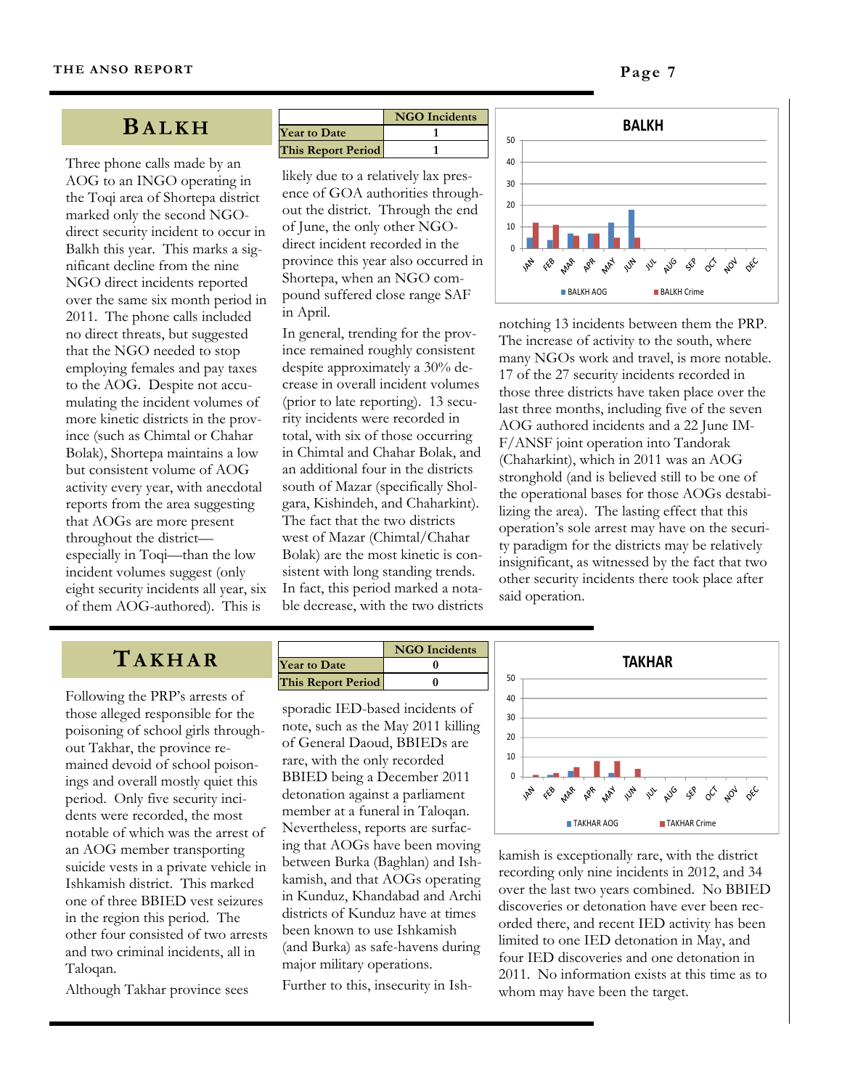#### **BALKH**

Three phone calls made by an AOG to an INGO operating in the Toqi area of Shortepa district marked only the second NGOdirect security incident to occur in Balkh this year. This marks a significant decline from the nine NGO direct incidents reported over the same six month period in 2011. The phone calls included no direct threats, but suggested that the NGO needed to stop employing females and pay taxes to the AOG. Despite not accumulating the incident volumes of more kinetic districts in the province (such as Chimtal or Chahar Bolak), Shortepa maintains a low but consistent volume of AOG activity every year, with anecdotal reports from the area suggesting that AOGs are more present throughout the district especially in Toqi—than the low incident volumes suggest (only eight security incidents all year, six of them AOG-authored). This is

|                           | <b>NGO</b> Incidents |
|---------------------------|----------------------|
| <b>Year to Date</b>       |                      |
| <b>This Report Period</b> |                      |

likely due to a relatively lax presence of GOA authorities throughout the district. Through the end of June, the only other NGOdirect incident recorded in the province this year also occurred in Shortepa, when an NGO compound suffered close range SAF in April.

In general, trending for the province remained roughly consistent despite approximately a 30% decrease in overall incident volumes (prior to late reporting). 13 security incidents were recorded in total, with six of those occurring in Chimtal and Chahar Bolak, and an additional four in the districts south of Mazar (specifically Sholgara, Kishindeh, and Chaharkint). The fact that the two districts west of Mazar (Chimtal/Chahar Bolak) are the most kinetic is consistent with long standing trends. In fact, this period marked a notable decrease, with the two districts



notching 13 incidents between them the PRP. The increase of activity to the south, where many NGOs work and travel, is more notable. 17 of the 27 security incidents recorded in those three districts have taken place over the last three months, including five of the seven AOG authored incidents and a 22 June IM-F/ANSF joint operation into Tandorak (Chaharkint), which in 2011 was an AOG stronghold (and is believed still to be one of the operational bases for those AOGs destabilizing the area). The lasting effect that this operation's sole arrest may have on the security paradigm for the districts may be relatively insignificant, as witnessed by the fact that two other security incidents there took place after said operation.

## **TAKHAR**

Following the PRP's arrests of those alleged responsible for the poisoning of school girls throughout Takhar, the province remained devoid of school poisonings and overall mostly quiet this period. Only five security incidents were recorded, the most notable of which was the arrest of an AOG member transporting suicide vests in a private vehicle in Ishkamish district. This marked one of three BBIED vest seizures in the region this period. The other four consisted of two arrests and two criminal incidents, all in Taloqan.

Although Takhar province sees

|                           | <b>NGO</b> Incidents |
|---------------------------|----------------------|
| <b>Year to Date</b>       |                      |
| <b>This Report Period</b> |                      |

sporadic IED-based incidents of note, such as the May 2011 killing of General Daoud, BBIEDs are rare, with the only recorded BBIED being a December 2011 detonation against a parliament member at a funeral in Taloqan. Nevertheless, reports are surfacing that AOGs have been moving between Burka (Baghlan) and Ishkamish, and that AOGs operating in Kunduz, Khandabad and Archi districts of Kunduz have at times been known to use Ishkamish (and Burka) as safe-havens during major military operations.

Further to this, insecurity in Ish-



kamish is exceptionally rare, with the district recording only nine incidents in 2012, and 34 over the last two years combined. No BBIED discoveries or detonation have ever been recorded there, and recent IED activity has been limited to one IED detonation in May, and four IED discoveries and one detonation in 2011. No information exists at this time as to whom may have been the target.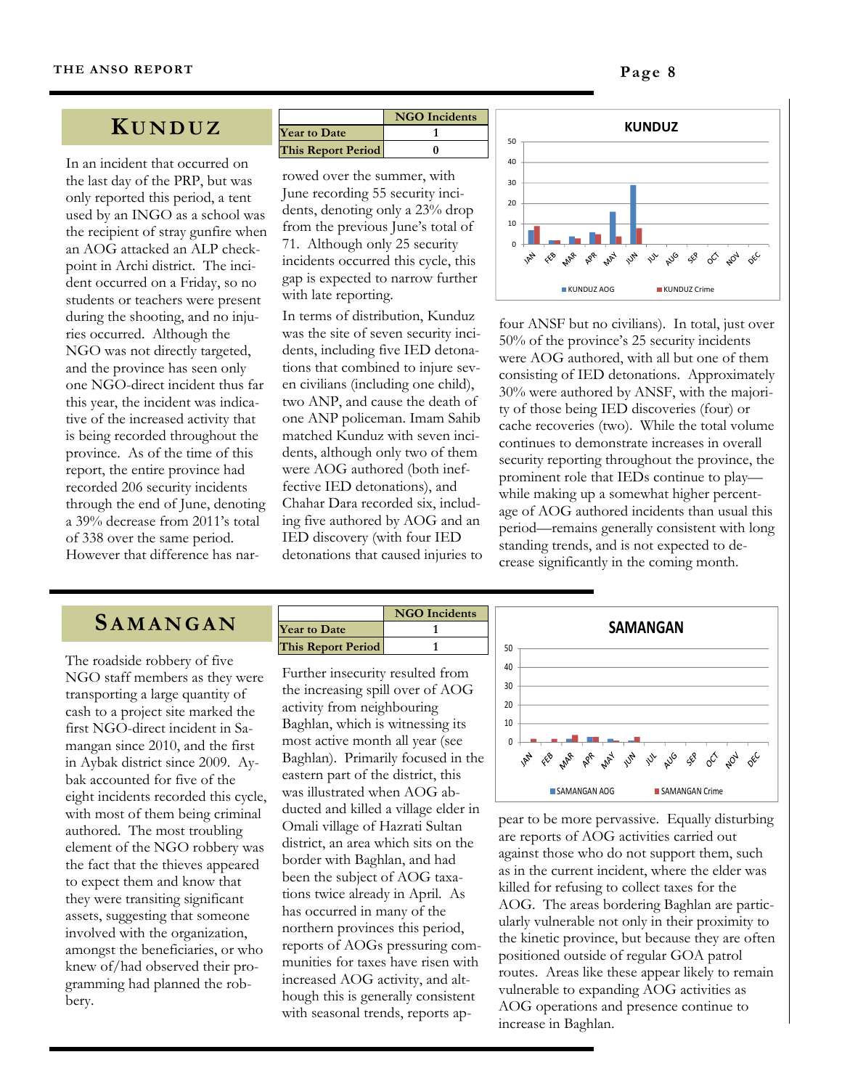#### **K UNDUZ**

In an incident that occurred on the last day of the PRP, but was only reported this period, a tent used by an INGO as a school was the recipient of stray gunfire when an AOG attacked an ALP checkpoint in Archi district. The incident occurred on a Friday, so no students or teachers were present during the shooting, and no injuries occurred. Although the NGO was not directly targeted, and the province has seen only one NGO-direct incident thus far this year, the incident was indicative of the increased activity that is being recorded throughout the province. As of the time of this report, the entire province had recorded 206 security incidents through the end of June, denoting a 39% decrease from 2011's total of 338 over the same period. However that difference has nar-

|                           | <b>NGO</b> Incidents |
|---------------------------|----------------------|
| <b>Year to Date</b>       |                      |
| <b>This Report Period</b> |                      |

rowed over the summer, with June recording 55 security incidents, denoting only a 23% drop from the previous June's total of 71. Although only 25 security incidents occurred this cycle, this gap is expected to narrow further with late reporting.

In terms of distribution, Kunduz was the site of seven security incidents, including five IED detonations that combined to injure seven civilians (including one child), two ANP, and cause the death of one ANP policeman. Imam Sahib matched Kunduz with seven incidents, although only two of them were AOG authored (both ineffective IED detonations), and Chahar Dara recorded six, including five authored by AOG and an IED discovery (with four IED detonations that caused injuries to



four ANSF but no civilians). In total, just over 50% of the province's 25 security incidents were AOG authored, with all but one of them consisting of IED detonations. Approximately 30% were authored by ANSF, with the majority of those being IED discoveries (four) or cache recoveries (two). While the total volume continues to demonstrate increases in overall security reporting throughout the province, the prominent role that IEDs continue to play while making up a somewhat higher percentage of AOG authored incidents than usual this period—remains generally consistent with long standing trends, and is not expected to decrease significantly in the coming month.

## **SAMANGAN**

The roadside robbery of five NGO staff members as they were transporting a large quantity of cash to a project site marked the first NGO-direct incident in Samangan since 2010, and the first in Aybak district since 2009. Aybak accounted for five of the eight incidents recorded this cycle, with most of them being criminal authored. The most troubling element of the NGO robbery was the fact that the thieves appeared to expect them and know that they were transiting significant assets, suggesting that someone involved with the organization, amongst the beneficiaries, or who knew of/had observed their programming had planned the robbery.

|                           | <b>NGO</b> Incidents |
|---------------------------|----------------------|
| <b>Year to Date</b>       |                      |
| <b>This Report Period</b> |                      |

Further insecurity resulted from the increasing spill over of AOG activity from neighbouring Baghlan, which is witnessing its most active month all year (see Baghlan). Primarily focused in the eastern part of the district, this was illustrated when AOG abducted and killed a village elder in Omali village of Hazrati Sultan district, an area which sits on the border with Baghlan, and had been the subject of AOG taxations twice already in April. As has occurred in many of the northern provinces this period, reports of AOGs pressuring communities for taxes have risen with increased AOG activity, and although this is generally consistent with seasonal trends, reports ap-



pear to be more pervassive. Equally disturbing are reports of AOG activities carried out against those who do not support them, such as in the current incident, where the elder was killed for refusing to collect taxes for the AOG. The areas bordering Baghlan are particularly vulnerable not only in their proximity to the kinetic province, but because they are often positioned outside of regular GOA patrol routes. Areas like these appear likely to remain vulnerable to expanding AOG activities as AOG operations and presence continue to increase in Baghlan.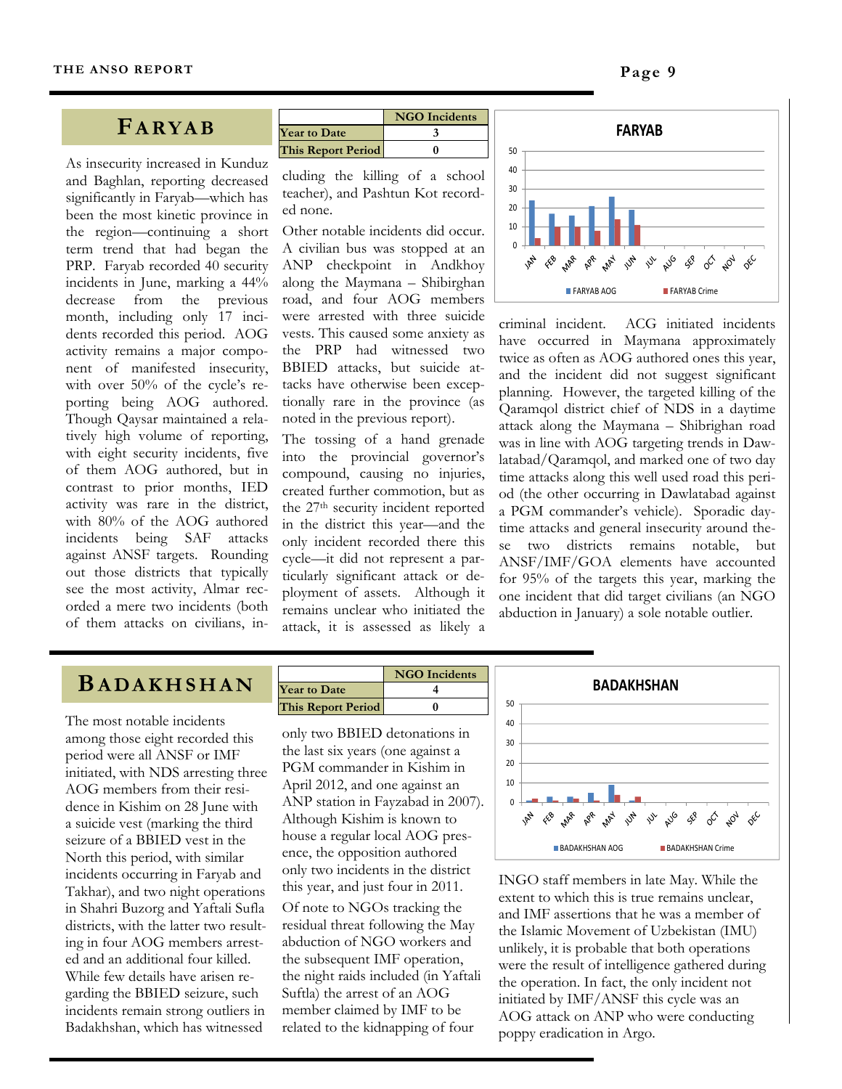#### **FARYAB**

As insecurity increased in Kunduz and Baghlan, reporting decreased significantly in Faryab—which has been the most kinetic province in the region—continuing a short term trend that had began the PRP. Faryab recorded 40 security incidents in June, marking a 44% decrease from the previous month, including only 17 incidents recorded this period. AOG activity remains a major component of manifested insecurity, with over 50% of the cycle's reporting being AOG authored. Though Qaysar maintained a relatively high volume of reporting, with eight security incidents, five of them AOG authored, but in contrast to prior months, IED activity was rare in the district, with 80% of the AOG authored incidents being SAF attacks against ANSF targets. Rounding out those districts that typically see the most activity, Almar recorded a mere two incidents (both of them attacks on civilians, in-

|                           | <b>NGO</b> Incidents |
|---------------------------|----------------------|
| <b>Year to Date</b>       |                      |
| <b>This Report Period</b> |                      |

cluding the killing of a school teacher), and Pashtun Kot recorded none.

Other notable incidents did occur. A civilian bus was stopped at an ANP checkpoint in Andkhoy along the Maymana – Shibirghan road, and four AOG members were arrested with three suicide vests. This caused some anxiety as the PRP had witnessed two BBIED attacks, but suicide attacks have otherwise been exceptionally rare in the province (as noted in the previous report).

The tossing of a hand grenade into the provincial governor's compound, causing no injuries, created further commotion, but as the 27th security incident reported in the district this year—and the only incident recorded there this cycle—it did not represent a particularly significant attack or deployment of assets. Although it remains unclear who initiated the attack, it is assessed as likely a



criminal incident. ACG initiated incidents have occurred in Maymana approximately twice as often as AOG authored ones this year, and the incident did not suggest significant planning. However, the targeted killing of the Qaramqol district chief of NDS in a daytime attack along the Maymana – Shibrighan road was in line with AOG targeting trends in Dawlatabad/Qaramqol, and marked one of two day time attacks along this well used road this period (the other occurring in Dawlatabad against a PGM commander's vehicle). Sporadic daytime attacks and general insecurity around these two districts remains notable, but ANSF/IMF/GOA elements have accounted for 95% of the targets this year, marking the one incident that did target civilians (an NGO abduction in January) a sole notable outlier.

#### **BADAKHSHAN**

The most notable incidents among those eight recorded this period were all ANSF or IMF initiated, with NDS arresting three AOG members from their residence in Kishim on 28 June with a suicide vest (marking the third seizure of a BBIED vest in the North this period, with similar incidents occurring in Faryab and Takhar), and two night operations in Shahri Buzorg and Yaftali Sufla districts, with the latter two resulting in four AOG members arrested and an additional four killed. While few details have arisen regarding the BBIED seizure, such incidents remain strong outliers in Badakhshan, which has witnessed

|                           | <b>NGO</b> Incidents |
|---------------------------|----------------------|
| <b>Year to Date</b>       |                      |
| <b>This Report Period</b> |                      |

only two BBIED detonations in the last six years (one against a PGM commander in Kishim in April 2012, and one against an ANP station in Fayzabad in 2007). Although Kishim is known to house a regular local AOG presence, the opposition authored only two incidents in the district this year, and just four in 2011.

Of note to NGOs tracking the residual threat following the May abduction of NGO workers and the subsequent IMF operation, the night raids included (in Yaftali Suftla) the arrest of an AOG member claimed by IMF to be related to the kidnapping of four



INGO staff members in late May. While the extent to which this is true remains unclear, and IMF assertions that he was a member of the Islamic Movement of Uzbekistan (IMU) unlikely, it is probable that both operations were the result of intelligence gathered during the operation. In fact, the only incident not initiated by IMF/ANSF this cycle was an AOG attack on ANP who were conducting poppy eradication in Argo.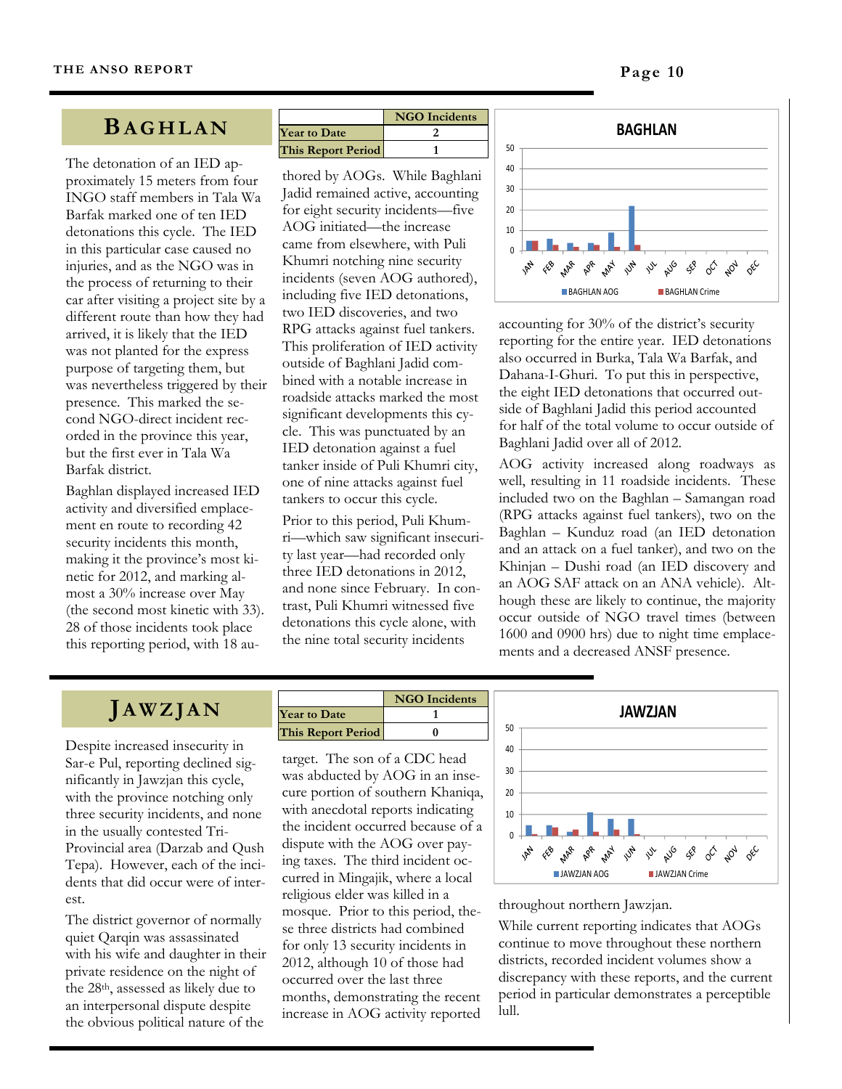#### **BAGHLAN**

The detonation of an IED approximately 15 meters from four INGO staff members in Tala Wa Barfak marked one of ten IED detonations this cycle. The IED in this particular case caused no injuries, and as the NGO was in the process of returning to their car after visiting a project site by a different route than how they had arrived, it is likely that the IED was not planted for the express purpose of targeting them, but was nevertheless triggered by their presence. This marked the second NGO-direct incident recorded in the province this year, but the first ever in Tala Wa Barfak district.

Baghlan displayed increased IED activity and diversified emplacement en route to recording 42 security incidents this month, making it the province's most kinetic for 2012, and marking almost a 30% increase over May (the second most kinetic with 33). 28 of those incidents took place this reporting period, with 18 au-

|                           | <b>NGO</b> Incidents |
|---------------------------|----------------------|
| <b>Year to Date</b>       |                      |
| <b>This Report Period</b> |                      |

thored by AOGs. While Baghlani Jadid remained active, accounting for eight security incidents—five AOG initiated—the increase came from elsewhere, with Puli Khumri notching nine security incidents (seven AOG authored), including five IED detonations, two IED discoveries, and two RPG attacks against fuel tankers. This proliferation of IED activity outside of Baghlani Jadid combined with a notable increase in roadside attacks marked the most significant developments this cycle. This was punctuated by an IED detonation against a fuel tanker inside of Puli Khumri city, one of nine attacks against fuel tankers to occur this cycle. Prior to this period, Puli Khumri—which saw significant insecurity last year—had recorded only three IED detonations in 2012, and none since February. In contrast, Puli Khumri witnessed five detonations this cycle alone, with the nine total security incidents



accounting for 30% of the district's security reporting for the entire year. IED detonations also occurred in Burka, Tala Wa Barfak, and Dahana-I-Ghuri. To put this in perspective, the eight IED detonations that occurred outside of Baghlani Jadid this period accounted for half of the total volume to occur outside of Baghlani Jadid over all of 2012.

AOG activity increased along roadways as well, resulting in 11 roadside incidents. These included two on the Baghlan – Samangan road (RPG attacks against fuel tankers), two on the Baghlan – Kunduz road (an IED detonation and an attack on a fuel tanker), and two on the Khinjan – Dushi road (an IED discovery and an AOG SAF attack on an ANA vehicle). Although these are likely to continue, the majority occur outside of NGO travel times (between 1600 and 0900 hrs) due to night time emplacements and a decreased ANSF presence.

## **JAWZJAN**

Despite increased insecurity in Sar-e Pul, reporting declined significantly in Jawzjan this cycle, with the province notching only three security incidents, and none in the usually contested Tri-Provincial area (Darzab and Qush Tepa). However, each of the incidents that did occur were of interest.

The district governor of normally quiet Qarqin was assassinated with his wife and daughter in their private residence on the night of the 28th, assessed as likely due to an interpersonal dispute despite the obvious political nature of the

|                           | <b>NGO</b> Incidents |
|---------------------------|----------------------|
| <b>Year to Date</b>       |                      |
| <b>This Report Period</b> |                      |

target. The son of a CDC head was abducted by AOG in an insecure portion of southern Khaniqa, with anecdotal reports indicating the incident occurred because of a dispute with the AOG over paying taxes. The third incident occurred in Mingajik, where a local religious elder was killed in a mosque. Prior to this period, these three districts had combined for only 13 security incidents in 2012, although 10 of those had occurred over the last three months, demonstrating the recent increase in AOG activity reported



#### throughout northern Jawzjan.

While current reporting indicates that AOGs continue to move throughout these northern districts, recorded incident volumes show a discrepancy with these reports, and the current period in particular demonstrates a perceptible lull.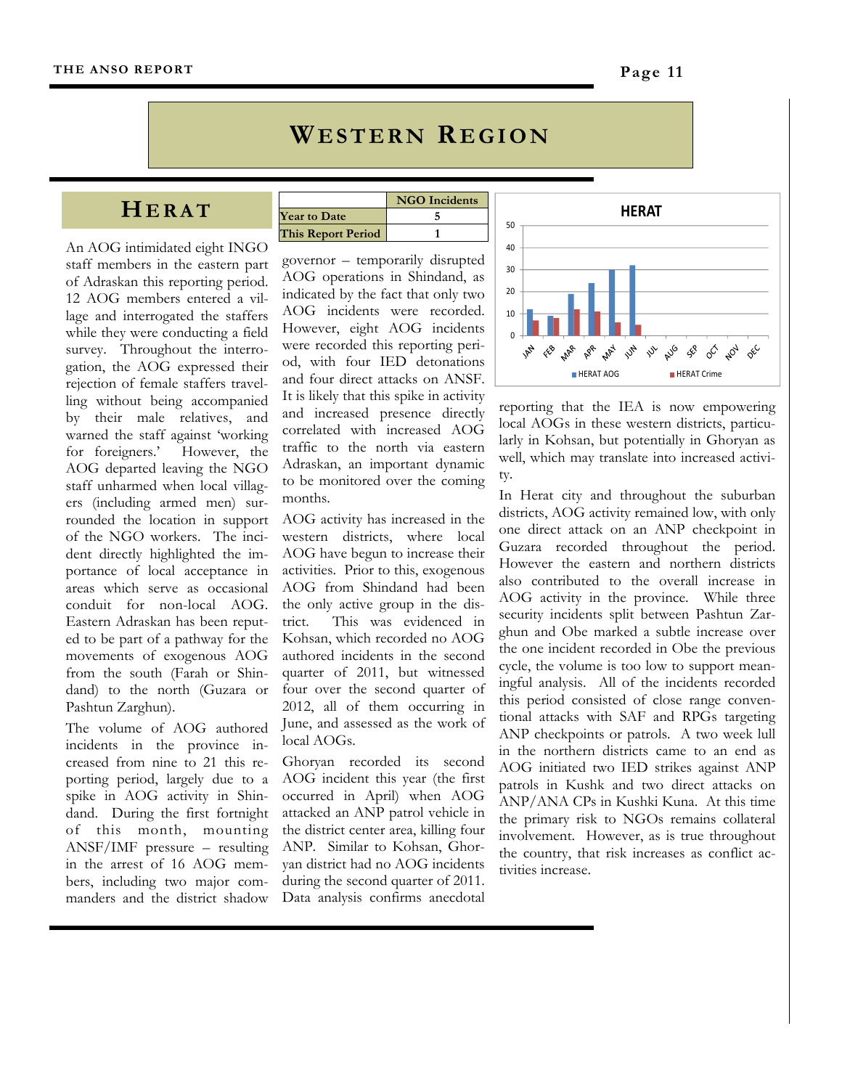## **WESTERN REGION**

## **HERAT**

An AOG intimidated eight INGO staff members in the eastern part of Adraskan this reporting period. 12 AOG members entered a village and interrogated the staffers while they were conducting a field survey. Throughout the interrogation, the AOG expressed their rejection of female staffers travelling without being accompanied by their male relatives, and warned the staff against 'working for foreigners.' However, the AOG departed leaving the NGO staff unharmed when local villagers (including armed men) surrounded the location in support of the NGO workers. The incident directly highlighted the importance of local acceptance in areas which serve as occasional conduit for non-local AOG. Eastern Adraskan has been reputed to be part of a pathway for the movements of exogenous AOG from the south (Farah or Shindand) to the north (Guzara or Pashtun Zarghun).

The volume of AOG authored incidents in the province increased from nine to 21 this reporting period, largely due to a spike in AOG activity in Shindand. During the first fortnight of this month, mounting ANSF/IMF pressure – resulting in the arrest of 16 AOG members, including two major commanders and the district shadow

|                           | <b>NGO</b> Incidents |
|---------------------------|----------------------|
| <b>Year to Date</b>       |                      |
| <b>This Report Period</b> |                      |

governor – temporarily disrupted AOG operations in Shindand, as indicated by the fact that only two AOG incidents were recorded. However, eight AOG incidents were recorded this reporting period, with four IED detonations and four direct attacks on ANSF. It is likely that this spike in activity and increased presence directly correlated with increased AOG traffic to the north via eastern Adraskan, an important dynamic to be monitored over the coming months.

AOG activity has increased in the western districts, where local AOG have begun to increase their activities. Prior to this, exogenous AOG from Shindand had been the only active group in the district. This was evidenced in Kohsan, which recorded no AOG authored incidents in the second quarter of 2011, but witnessed four over the second quarter of 2012, all of them occurring in June, and assessed as the work of local AOGs.

Ghoryan recorded its second AOG incident this year (the first occurred in April) when AOG attacked an ANP patrol vehicle in the district center area, killing four ANP. Similar to Kohsan, Ghoryan district had no AOG incidents during the second quarter of 2011. Data analysis confirms anecdotal



reporting that the IEA is now empowering local AOGs in these western districts, particularly in Kohsan, but potentially in Ghoryan as well, which may translate into increased activity.

In Herat city and throughout the suburban districts, AOG activity remained low, with only one direct attack on an ANP checkpoint in Guzara recorded throughout the period. However the eastern and northern districts also contributed to the overall increase in AOG activity in the province. While three security incidents split between Pashtun Zarghun and Obe marked a subtle increase over the one incident recorded in Obe the previous cycle, the volume is too low to support meaningful analysis. All of the incidents recorded this period consisted of close range conventional attacks with SAF and RPGs targeting ANP checkpoints or patrols. A two week lull in the northern districts came to an end as AOG initiated two IED strikes against ANP patrols in Kushk and two direct attacks on ANP/ANA CPs in Kushki Kuna. At this time the primary risk to NGOs remains collateral involvement. However, as is true throughout the country, that risk increases as conflict activities increase.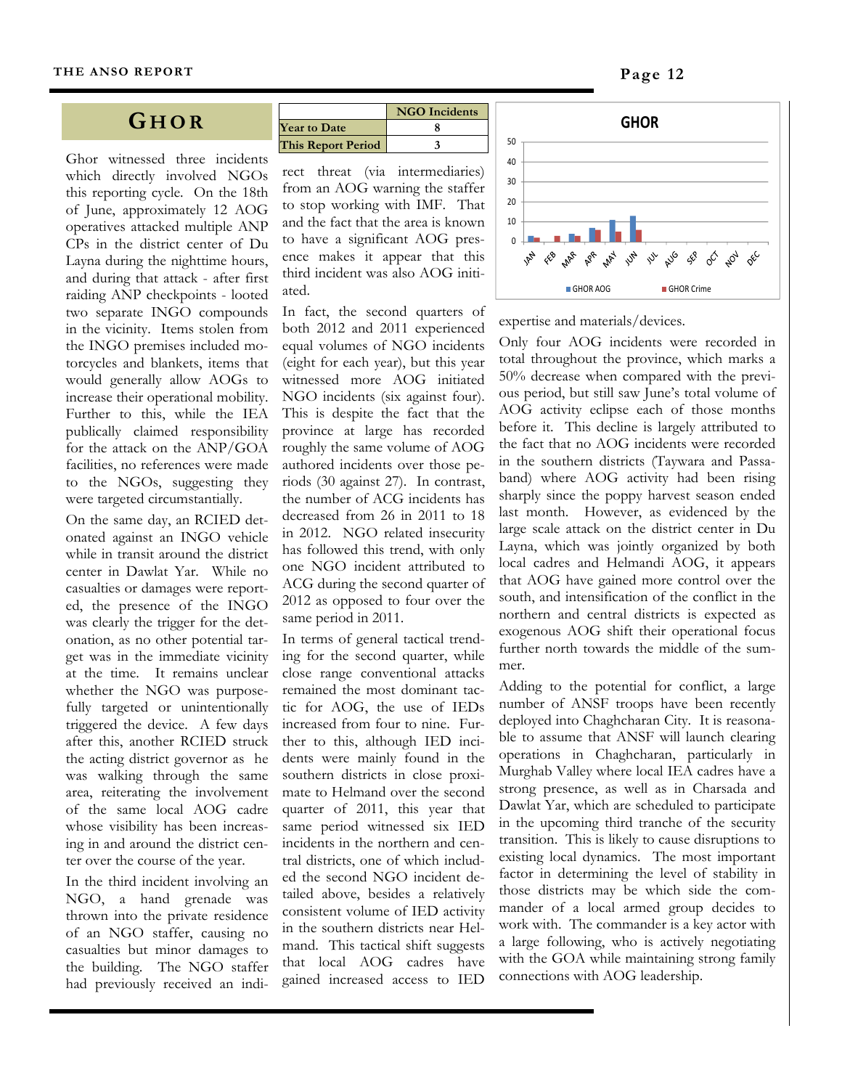#### **G HOR**

Ghor witnessed three incidents which directly involved NGOs this reporting cycle. On the 18th of June, approximately 12 AOG operatives attacked multiple ANP CPs in the district center of Du Layna during the nighttime hours, and during that attack - after first raiding ANP checkpoints - looted two separate INGO compounds in the vicinity. Items stolen from the INGO premises included motorcycles and blankets, items that would generally allow AOGs to increase their operational mobility. Further to this, while the IEA publically claimed responsibility for the attack on the ANP/GOA facilities, no references were made to the NGOs, suggesting they were targeted circumstantially.

On the same day, an RCIED detonated against an INGO vehicle while in transit around the district center in Dawlat Yar. While no casualties or damages were reported, the presence of the INGO was clearly the trigger for the detonation, as no other potential target was in the immediate vicinity at the time. It remains unclear whether the NGO was purposefully targeted or unintentionally triggered the device. A few days after this, another RCIED struck the acting district governor as he was walking through the same area, reiterating the involvement of the same local AOG cadre whose visibility has been increasing in and around the district center over the course of the year.

In the third incident involving an NGO, a hand grenade was thrown into the private residence of an NGO staffer, causing no casualties but minor damages to the building. The NGO staffer had previously received an indi-

|                           | <b>NGO</b> Incidents |
|---------------------------|----------------------|
| <b>Year to Date</b>       |                      |
| <b>This Report Period</b> |                      |

rect threat (via intermediaries) from an AOG warning the staffer to stop working with IMF. That and the fact that the area is known to have a significant AOG presence makes it appear that this third incident was also AOG initiated.

In fact, the second quarters of both 2012 and 2011 experienced equal volumes of NGO incidents (eight for each year), but this year witnessed more AOG initiated NGO incidents (six against four). This is despite the fact that the province at large has recorded roughly the same volume of AOG authored incidents over those periods (30 against 27). In contrast, the number of ACG incidents has decreased from 26 in 2011 to 18 in 2012. NGO related insecurity has followed this trend, with only one NGO incident attributed to ACG during the second quarter of 2012 as opposed to four over the same period in 2011.

In terms of general tactical trending for the second quarter, while close range conventional attacks remained the most dominant tactic for AOG, the use of IEDs increased from four to nine. Further to this, although IED incidents were mainly found in the southern districts in close proximate to Helmand over the second quarter of 2011, this year that same period witnessed six IED incidents in the northern and central districts, one of which included the second NGO incident detailed above, besides a relatively consistent volume of IED activity in the southern districts near Helmand. This tactical shift suggests that local AOG cadres have gained increased access to IED



expertise and materials/devices.

Only four AOG incidents were recorded in total throughout the province, which marks a 50% decrease when compared with the previous period, but still saw June's total volume of AOG activity eclipse each of those months before it. This decline is largely attributed to the fact that no AOG incidents were recorded in the southern districts (Taywara and Passaband) where AOG activity had been rising sharply since the poppy harvest season ended last month. However, as evidenced by the large scale attack on the district center in Du Layna, which was jointly organized by both local cadres and Helmandi AOG, it appears that AOG have gained more control over the south, and intensification of the conflict in the northern and central districts is expected as exogenous AOG shift their operational focus further north towards the middle of the summer.

Adding to the potential for conflict, a large number of ANSF troops have been recently deployed into Chaghcharan City. It is reasonable to assume that ANSF will launch clearing operations in Chaghcharan, particularly in Murghab Valley where local IEA cadres have a strong presence, as well as in Charsada and Dawlat Yar, which are scheduled to participate in the upcoming third tranche of the security transition. This is likely to cause disruptions to existing local dynamics. The most important factor in determining the level of stability in those districts may be which side the commander of a local armed group decides to work with. The commander is a key actor with a large following, who is actively negotiating with the GOA while maintaining strong family connections with AOG leadership.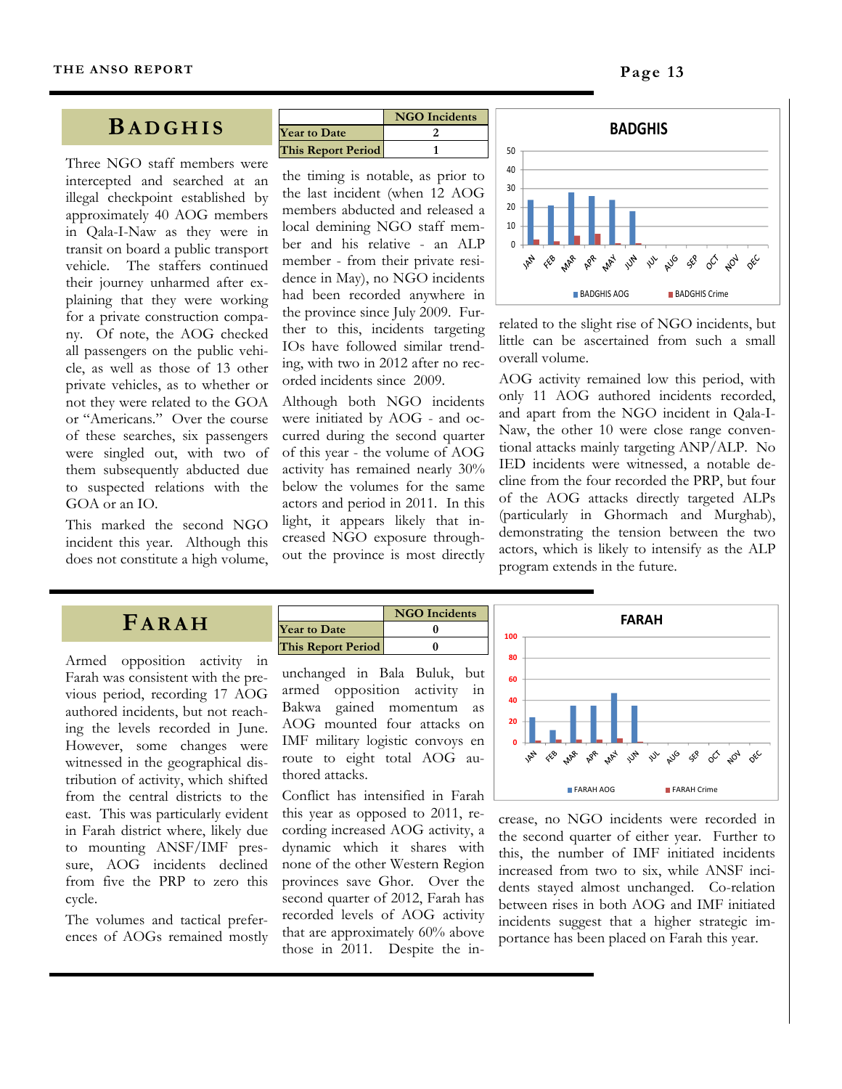#### **BADGHIS**

Three NGO staff members were intercepted and searched at an illegal checkpoint established by approximately 40 AOG members in Qala-I-Naw as they were in transit on board a public transport vehicle. The staffers continued their journey unharmed after explaining that they were working for a private construction company. Of note, the AOG checked all passengers on the public vehicle, as well as those of 13 other private vehicles, as to whether or not they were related to the GOA or "Americans." Over the course of these searches, six passengers were singled out, with two of them subsequently abducted due to suspected relations with the GOA or an IO.

This marked the second NGO incident this year. Although this does not constitute a high volume,

|                           | <b>NGO</b> Incidents |
|---------------------------|----------------------|
| <b>Year to Date</b>       |                      |
| <b>This Report Period</b> |                      |

the timing is notable, as prior to the last incident (when 12 AOG members abducted and released a local demining NGO staff member and his relative - an ALP member - from their private residence in May), no NGO incidents had been recorded anywhere in the province since July 2009. Further to this, incidents targeting IOs have followed similar trending, with two in 2012 after no recorded incidents since 2009.

Although both NGO incidents were initiated by AOG - and occurred during the second quarter of this year - the volume of AOG activity has remained nearly 30% below the volumes for the same actors and period in 2011. In this light, it appears likely that increased NGO exposure throughout the province is most directly



related to the slight rise of NGO incidents, but little can be ascertained from such a small overall volume.

AOG activity remained low this period, with only 11 AOG authored incidents recorded, and apart from the NGO incident in Qala-I-Naw, the other 10 were close range conventional attacks mainly targeting ANP/ALP. No IED incidents were witnessed, a notable decline from the four recorded the PRP, but four of the AOG attacks directly targeted ALPs (particularly in Ghormach and Murghab), demonstrating the tension between the two actors, which is likely to intensify as the ALP program extends in the future.

## **FARAH**

Armed opposition activity in Farah was consistent with the previous period, recording 17 AOG authored incidents, but not reaching the levels recorded in June. However, some changes were witnessed in the geographical distribution of activity, which shifted from the central districts to the east. This was particularly evident in Farah district where, likely due to mounting ANSF/IMF pressure, AOG incidents declined from five the PRP to zero this cycle.

The volumes and tactical preferences of AOGs remained mostly

|                           | <b>NGO</b> Incidents |
|---------------------------|----------------------|
| <b>Year to Date</b>       |                      |
| <b>This Report Period</b> |                      |

unchanged in Bala Buluk, but armed opposition activity in Bakwa gained momentum as AOG mounted four attacks on IMF military logistic convoys en route to eight total AOG authored attacks.

Conflict has intensified in Farah this year as opposed to 2011, recording increased AOG activity, a dynamic which it shares with none of the other Western Region provinces save Ghor. Over the second quarter of 2012, Farah has recorded levels of AOG activity that are approximately 60% above those in 2011. Despite the in-



crease, no NGO incidents were recorded in the second quarter of either year. Further to this, the number of IMF initiated incidents increased from two to six, while ANSF incidents stayed almost unchanged. Co-relation between rises in both AOG and IMF initiated incidents suggest that a higher strategic importance has been placed on Farah this year.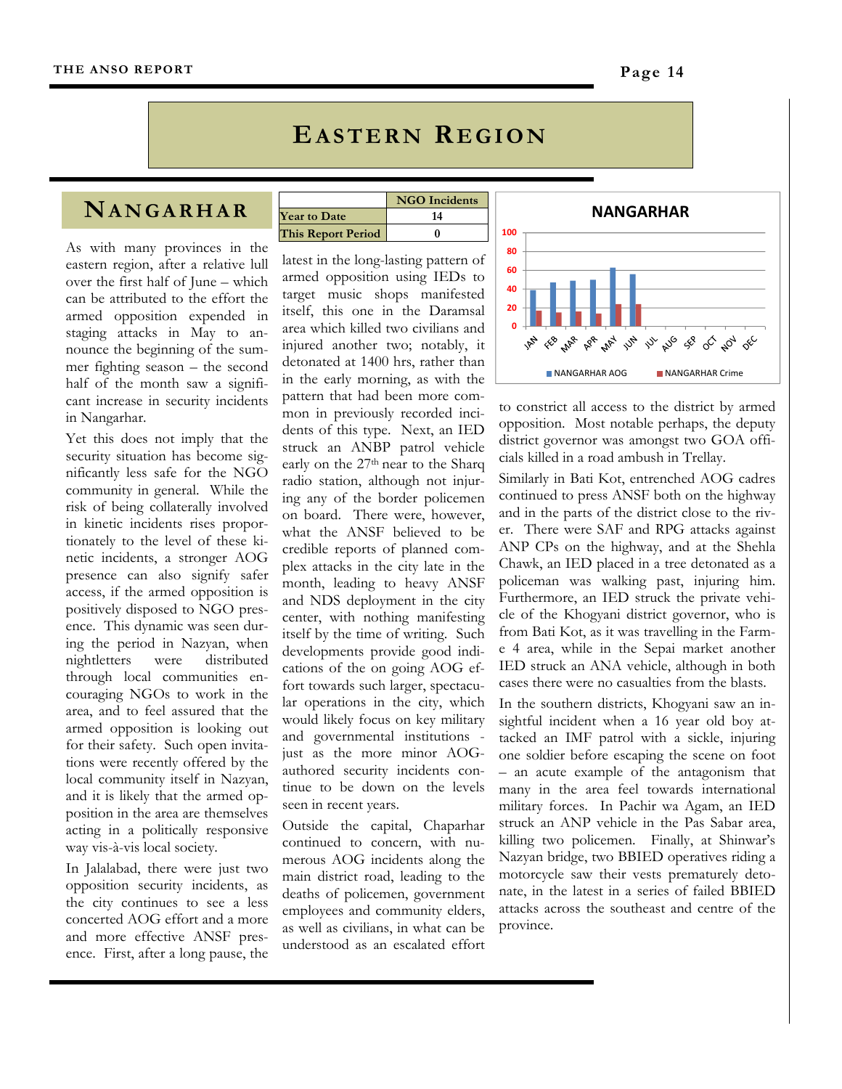#### **EASTERN REGION**

## **NANGARHAR**

As with many provinces in the eastern region, after a relative lull over the first half of June – which can be attributed to the effort the armed opposition expended in staging attacks in May to announce the beginning of the summer fighting season – the second half of the month saw a significant increase in security incidents in Nangarhar.

Yet this does not imply that the security situation has become significantly less safe for the NGO community in general. While the risk of being collaterally involved in kinetic incidents rises proportionately to the level of these kinetic incidents, a stronger AOG presence can also signify safer access, if the armed opposition is positively disposed to NGO presence. This dynamic was seen during the period in Nazyan, when nightletters were distributed through local communities encouraging NGOs to work in the area, and to feel assured that the armed opposition is looking out for their safety. Such open invitations were recently offered by the local community itself in Nazyan, and it is likely that the armed opposition in the area are themselves acting in a politically responsive way vis-à-vis local society.

In Jalalabad, there were just two opposition security incidents, as the city continues to see a less concerted AOG effort and a more and more effective ANSF presence. First, after a long pause, the

|                           | <b>NGO</b> Incidents |
|---------------------------|----------------------|
| <b>Year to Date</b>       | 14                   |
| <b>This Report Period</b> |                      |

latest in the long-lasting pattern of armed opposition using IEDs to target music shops manifested itself, this one in the Daramsal area which killed two civilians and injured another two; notably, it detonated at 1400 hrs, rather than in the early morning, as with the pattern that had been more common in previously recorded incidents of this type. Next, an IED struck an ANBP patrol vehicle early on the 27<sup>th</sup> near to the Sharq radio station, although not injuring any of the border policemen on board. There were, however, what the ANSF believed to be credible reports of planned complex attacks in the city late in the month, leading to heavy ANSF and NDS deployment in the city center, with nothing manifesting itself by the time of writing. Such developments provide good indications of the on going AOG effort towards such larger, spectacular operations in the city, which would likely focus on key military and governmental institutions just as the more minor AOGauthored security incidents continue to be down on the levels seen in recent years.

Outside the capital, Chaparhar continued to concern, with numerous AOG incidents along the main district road, leading to the deaths of policemen, government employees and community elders, as well as civilians, in what can be understood as an escalated effort



to constrict all access to the district by armed opposition. Most notable perhaps, the deputy district governor was amongst two GOA officials killed in a road ambush in Trellay.

Similarly in Bati Kot, entrenched AOG cadres continued to press ANSF both on the highway and in the parts of the district close to the river. There were SAF and RPG attacks against ANP CPs on the highway, and at the Shehla Chawk, an IED placed in a tree detonated as a policeman was walking past, injuring him. Furthermore, an IED struck the private vehicle of the Khogyani district governor, who is from Bati Kot, as it was travelling in the Farme 4 area, while in the Sepai market another IED struck an ANA vehicle, although in both cases there were no casualties from the blasts.

In the southern districts, Khogyani saw an insightful incident when a 16 year old boy attacked an IMF patrol with a sickle, injuring one soldier before escaping the scene on foot – an acute example of the antagonism that many in the area feel towards international military forces. In Pachir wa Agam, an IED struck an ANP vehicle in the Pas Sabar area, killing two policemen. Finally, at Shinwar's Nazyan bridge, two BBIED operatives riding a motorcycle saw their vests prematurely detonate, in the latest in a series of failed BBIED attacks across the southeast and centre of the province.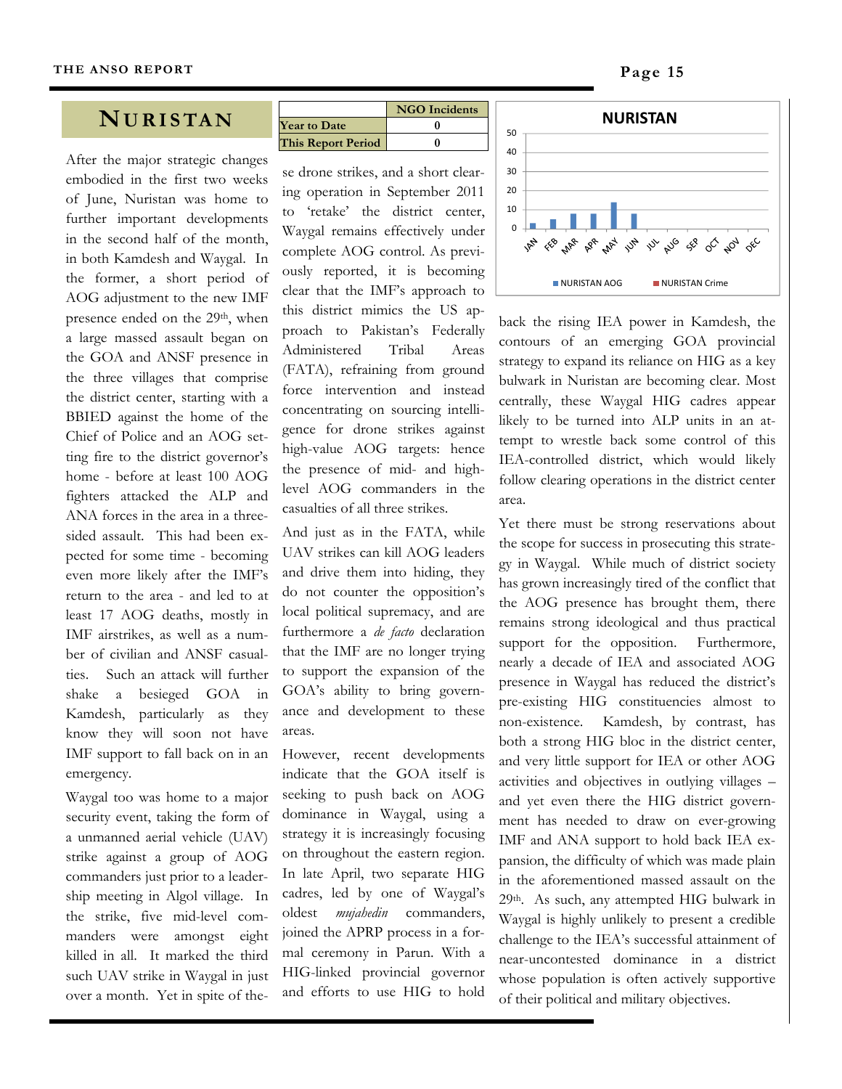#### **NURISTAN**

After the major strategic changes embodied in the first two weeks of June, Nuristan was home to further important developments in the second half of the month, in both Kamdesh and Waygal. In the former, a short period of AOG adjustment to the new IMF presence ended on the 29<sup>th</sup>, when a large massed assault began on the GOA and ANSF presence in the three villages that comprise the district center, starting with a BBIED against the home of the Chief of Police and an AOG setting fire to the district governor's home - before at least 100 AOG fighters attacked the ALP and ANA forces in the area in a threesided assault. This had been expected for some time - becoming even more likely after the IMF's return to the area - and led to at least 17 AOG deaths, mostly in IMF airstrikes, as well as a number of civilian and ANSF casualties. Such an attack will further shake a besieged GOA in Kamdesh, particularly as they know they will soon not have IMF support to fall back on in an emergency.

Waygal too was home to a major security event, taking the form of a unmanned aerial vehicle (UAV) strike against a group of AOG commanders just prior to a leadership meeting in Algol village. In the strike, five mid-level commanders were amongst eight killed in all. It marked the third such UAV strike in Waygal in just over a month. Yet in spite of the-

|                           | <b>NGO</b> Incidents |
|---------------------------|----------------------|
| <b>Year to Date</b>       |                      |
| <b>This Report Period</b> |                      |

se drone strikes, and a short clearing operation in September 2011 to 'retake' the district center, Waygal remains effectively under complete AOG control. As previously reported, it is becoming clear that the IMF's approach to this district mimics the US approach to Pakistan's Federally Administered Tribal Areas (FATA), refraining from ground force intervention and instead concentrating on sourcing intelligence for drone strikes against high-value AOG targets: hence the presence of mid- and highlevel AOG commanders in the casualties of all three strikes.

And just as in the FATA, while UAV strikes can kill AOG leaders and drive them into hiding, they do not counter the opposition's local political supremacy, and are furthermore a *de facto* declaration that the IMF are no longer trying to support the expansion of the GOA's ability to bring governance and development to these areas.

However, recent developments indicate that the GOA itself is seeking to push back on AOG dominance in Waygal, using a strategy it is increasingly focusing on throughout the eastern region. In late April, two separate HIG cadres, led by one of Waygal's oldest *mujahedin* commanders, joined the APRP process in a formal ceremony in Parun. With a HIG-linked provincial governor and efforts to use HIG to hold



back the rising IEA power in Kamdesh, the contours of an emerging GOA provincial strategy to expand its reliance on HIG as a key bulwark in Nuristan are becoming clear. Most centrally, these Waygal HIG cadres appear likely to be turned into ALP units in an attempt to wrestle back some control of this IEA-controlled district, which would likely follow clearing operations in the district center area.

Yet there must be strong reservations about the scope for success in prosecuting this strategy in Waygal. While much of district society has grown increasingly tired of the conflict that the AOG presence has brought them, there remains strong ideological and thus practical support for the opposition. Furthermore, nearly a decade of IEA and associated AOG presence in Waygal has reduced the district's pre-existing HIG constituencies almost to non-existence. Kamdesh, by contrast, has both a strong HIG bloc in the district center, and very little support for IEA or other AOG activities and objectives in outlying villages – and yet even there the HIG district government has needed to draw on ever-growing IMF and ANA support to hold back IEA expansion, the difficulty of which was made plain in the aforementioned massed assault on the 29th. As such, any attempted HIG bulwark in Waygal is highly unlikely to present a credible challenge to the IEA's successful attainment of near-uncontested dominance in a district whose population is often actively supportive of their political and military objectives.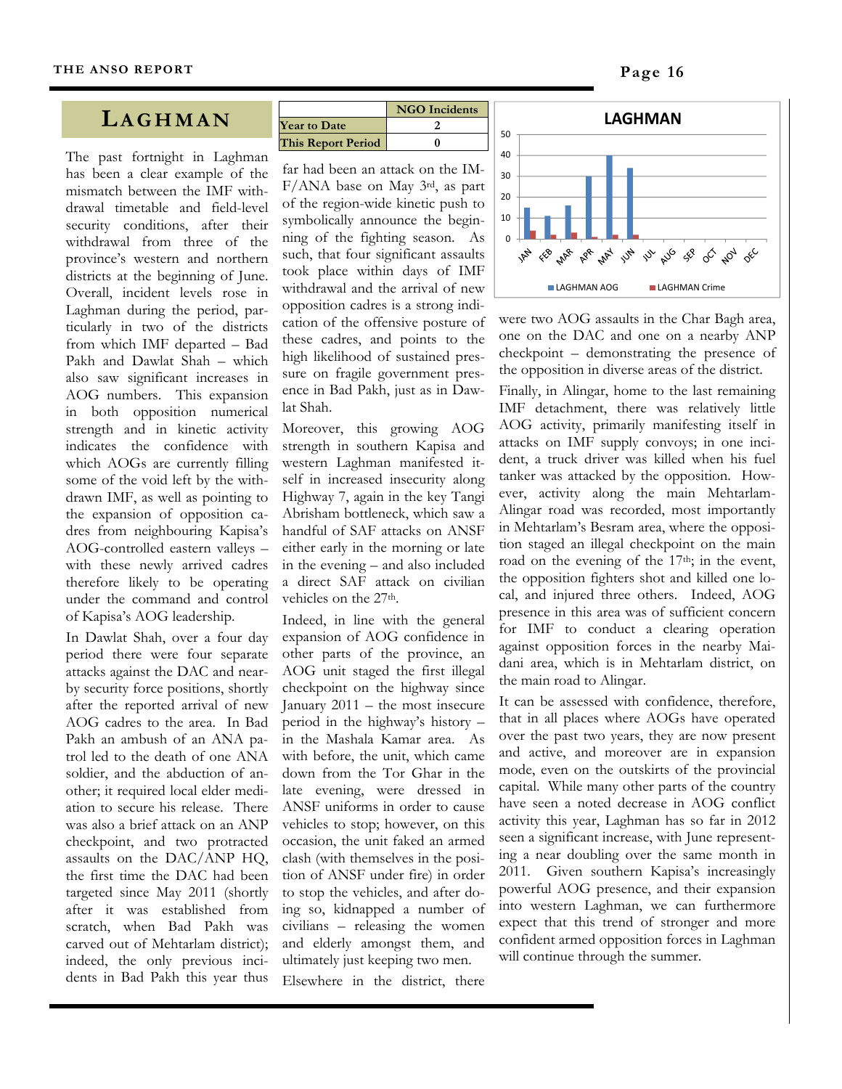#### **LAGHMAN**

The past fortnight in Laghman has been a clear example of the mismatch between the IMF withdrawal timetable and field-level security conditions, after their withdrawal from three of the province's western and northern districts at the beginning of June. Overall, incident levels rose in Laghman during the period, particularly in two of the districts from which IMF departed – Bad Pakh and Dawlat Shah – which also saw significant increases in AOG numbers. This expansion in both opposition numerical strength and in kinetic activity indicates the confidence with which AOGs are currently filling some of the void left by the withdrawn IMF, as well as pointing to the expansion of opposition cadres from neighbouring Kapisa's AOG-controlled eastern valleys – with these newly arrived cadres therefore likely to be operating under the command and control of Kapisa's AOG leadership.

In Dawlat Shah, over a four day period there were four separate attacks against the DAC and nearby security force positions, shortly after the reported arrival of new AOG cadres to the area. In Bad Pakh an ambush of an ANA patrol led to the death of one ANA soldier, and the abduction of another; it required local elder mediation to secure his release. There was also a brief attack on an ANP checkpoint, and two protracted assaults on the DAC/ANP HQ, the first time the DAC had been targeted since May 2011 (shortly after it was established from scratch, when Bad Pakh was carved out of Mehtarlam district); indeed, the only previous incidents in Bad Pakh this year thus

|                           | <b>NGO</b> Incidents |
|---------------------------|----------------------|
| <b>Year to Date</b>       |                      |
| <b>This Report Period</b> |                      |

far had been an attack on the IM-F/ANA base on May 3rd, as part of the region-wide kinetic push to symbolically announce the beginning of the fighting season. As such, that four significant assaults took place within days of IMF withdrawal and the arrival of new opposition cadres is a strong indication of the offensive posture of these cadres, and points to the high likelihood of sustained pressure on fragile government presence in Bad Pakh, just as in Dawlat Shah.

Moreover, this growing AOG strength in southern Kapisa and western Laghman manifested itself in increased insecurity along Highway 7, again in the key Tangi Abrisham bottleneck, which saw a handful of SAF attacks on ANSF either early in the morning or late in the evening – and also included a direct SAF attack on civilian vehicles on the 27th.

Indeed, in line with the general expansion of AOG confidence in other parts of the province, an AOG unit staged the first illegal checkpoint on the highway since January 2011 – the most insecure period in the highway's history – in the Mashala Kamar area. As with before, the unit, which came down from the Tor Ghar in the late evening, were dressed in ANSF uniforms in order to cause vehicles to stop; however, on this occasion, the unit faked an armed clash (with themselves in the position of ANSF under fire) in order to stop the vehicles, and after doing so, kidnapped a number of civilians – releasing the women and elderly amongst them, and ultimately just keeping two men.

Elsewhere in the district, there



were two AOG assaults in the Char Bagh area, one on the DAC and one on a nearby ANP checkpoint – demonstrating the presence of the opposition in diverse areas of the district.

Finally, in Alingar, home to the last remaining IMF detachment, there was relatively little AOG activity, primarily manifesting itself in attacks on IMF supply convoys; in one incident, a truck driver was killed when his fuel tanker was attacked by the opposition. However, activity along the main Mehtarlam-Alingar road was recorded, most importantly in Mehtarlam's Besram area, where the opposition staged an illegal checkpoint on the main road on the evening of the  $17<sup>th</sup>$ ; in the event, the opposition fighters shot and killed one local, and injured three others. Indeed, AOG presence in this area was of sufficient concern for IMF to conduct a clearing operation against opposition forces in the nearby Maidani area, which is in Mehtarlam district, on the main road to Alingar.

It can be assessed with confidence, therefore, that in all places where AOGs have operated over the past two years, they are now present and active, and moreover are in expansion mode, even on the outskirts of the provincial capital. While many other parts of the country have seen a noted decrease in AOG conflict activity this year, Laghman has so far in 2012 seen a significant increase, with June representing a near doubling over the same month in 2011. Given southern Kapisa's increasingly powerful AOG presence, and their expansion into western Laghman, we can furthermore expect that this trend of stronger and more confident armed opposition forces in Laghman will continue through the summer.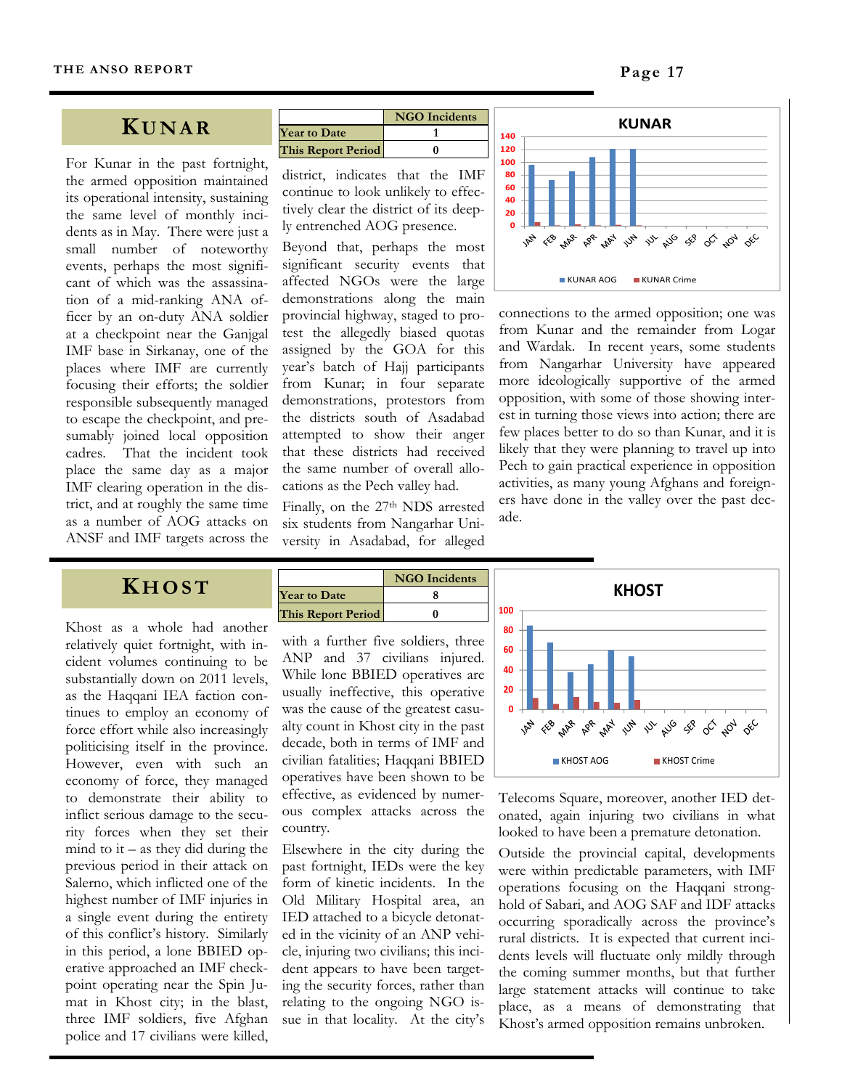#### **K UNAR**

For Kunar in the past fortnight, the armed opposition maintained its operational intensity, sustaining the same level of monthly incidents as in May. There were just a small number of noteworthy events, perhaps the most significant of which was the assassination of a mid-ranking ANA officer by an on-duty ANA soldier at a checkpoint near the Ganjgal IMF base in Sirkanay, one of the places where IMF are currently focusing their efforts; the soldier responsible subsequently managed to escape the checkpoint, and presumably joined local opposition cadres. That the incident took place the same day as a major IMF clearing operation in the district, and at roughly the same time as a number of AOG attacks on ANSF and IMF targets across the

|                           | <b>NGO</b> Incidents |
|---------------------------|----------------------|
| <b>Year to Date</b>       |                      |
| <b>This Report Period</b> |                      |

district, indicates that the IMF continue to look unlikely to effectively clear the district of its deeply entrenched AOG presence.

Beyond that, perhaps the most significant security events that affected NGOs were the large demonstrations along the main provincial highway, staged to protest the allegedly biased quotas assigned by the GOA for this year's batch of Hajj participants from Kunar; in four separate demonstrations, protestors from the districts south of Asadabad attempted to show their anger that these districts had received the same number of overall allocations as the Pech valley had.

Finally, on the 27<sup>th</sup> NDS arrested six students from Nangarhar University in Asadabad, for alleged



connections to the armed opposition; one was from Kunar and the remainder from Logar and Wardak. In recent years, some students from Nangarhar University have appeared more ideologically supportive of the armed opposition, with some of those showing interest in turning those views into action; there are few places better to do so than Kunar, and it is likely that they were planning to travel up into Pech to gain practical experience in opposition activities, as many young Afghans and foreigners have done in the valley over the past decade.

### **K HOST**

Khost as a whole had another relatively quiet fortnight, with incident volumes continuing to be substantially down on 2011 levels, as the Haqqani IEA faction continues to employ an economy of force effort while also increasingly politicising itself in the province. However, even with such an economy of force, they managed to demonstrate their ability to inflict serious damage to the security forces when they set their mind to it – as they did during the previous period in their attack on Salerno, which inflicted one of the highest number of IMF injuries in a single event during the entirety of this conflict's history. Similarly in this period, a lone BBIED operative approached an IMF checkpoint operating near the Spin Jumat in Khost city; in the blast, three IMF soldiers, five Afghan police and 17 civilians were killed,



with a further five soldiers, three ANP and 37 civilians injured. While lone BBIED operatives are usually ineffective, this operative was the cause of the greatest casualty count in Khost city in the past decade, both in terms of IMF and civilian fatalities; Haqqani BBIED operatives have been shown to be effective, as evidenced by numerous complex attacks across the country.

Elsewhere in the city during the past fortnight, IEDs were the key form of kinetic incidents. In the Old Military Hospital area, an IED attached to a bicycle detonated in the vicinity of an ANP vehicle, injuring two civilians; this incident appears to have been targeting the security forces, rather than relating to the ongoing NGO issue in that locality. At the city's



Telecoms Square, moreover, another IED detonated, again injuring two civilians in what looked to have been a premature detonation.

Outside the provincial capital, developments were within predictable parameters, with IMF operations focusing on the Haqqani stronghold of Sabari, and AOG SAF and IDF attacks occurring sporadically across the province's rural districts. It is expected that current incidents levels will fluctuate only mildly through the coming summer months, but that further large statement attacks will continue to take place, as a means of demonstrating that Khost's armed opposition remains unbroken.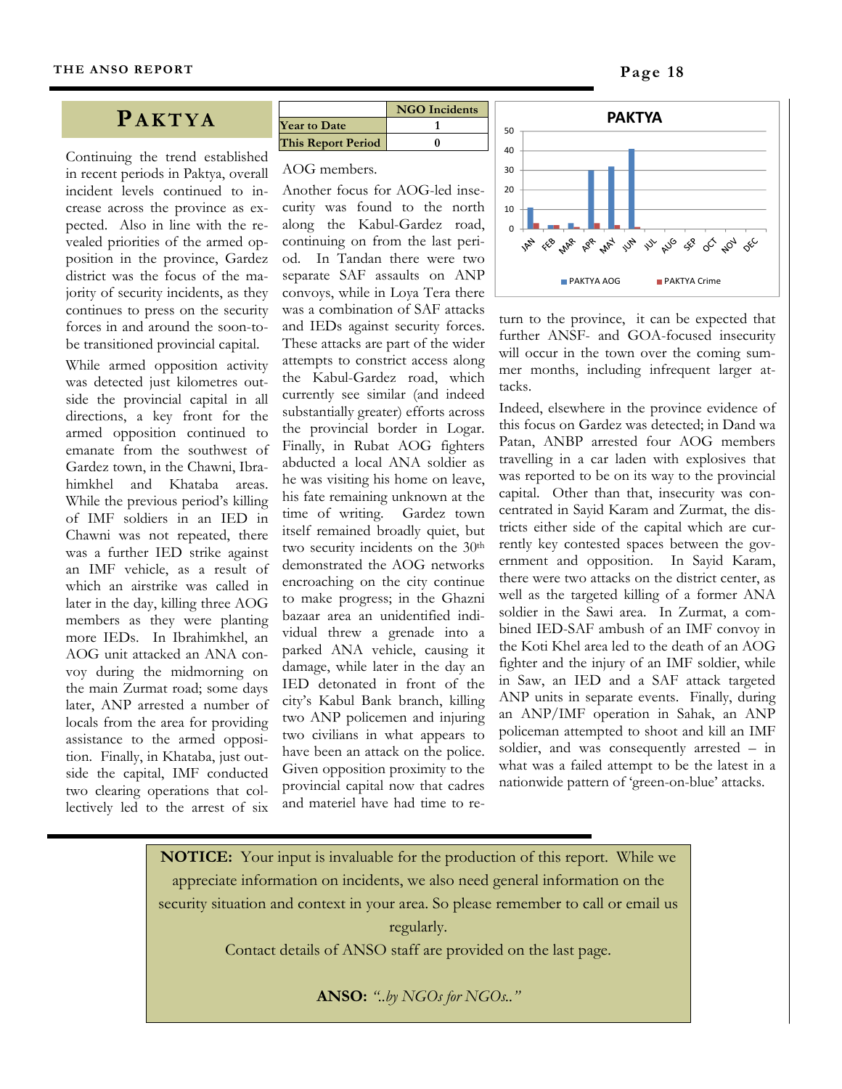#### **PAKTYA**

Continuing the trend established in recent periods in Paktya, overall incident levels continued to increase across the province as expected. Also in line with the revealed priorities of the armed opposition in the province, Gardez district was the focus of the majority of security incidents, as they continues to press on the security forces in and around the soon-tobe transitioned provincial capital.

While armed opposition activity was detected just kilometres outside the provincial capital in all directions, a key front for the armed opposition continued to emanate from the southwest of Gardez town, in the Chawni, Ibrahimkhel and Khataba areas. While the previous period's killing of IMF soldiers in an IED in Chawni was not repeated, there was a further IED strike against an IMF vehicle, as a result of which an airstrike was called in later in the day, killing three AOG members as they were planting more IEDs. In Ibrahimkhel, an AOG unit attacked an ANA convoy during the midmorning on the main Zurmat road; some days later, ANP arrested a number of locals from the area for providing assistance to the armed opposition. Finally, in Khataba, just outside the capital, IMF conducted two clearing operations that collectively led to the arrest of six

|                           | <b>NGO</b> Incidents |
|---------------------------|----------------------|
| <b>Year to Date</b>       |                      |
| <b>This Report Period</b> |                      |

#### AOG members.

Another focus for AOG-led insecurity was found to the north along the Kabul-Gardez road, continuing on from the last period. In Tandan there were two separate SAF assaults on ANP convoys, while in Loya Tera there was a combination of SAF attacks and IEDs against security forces. These attacks are part of the wider attempts to constrict access along the Kabul-Gardez road, which currently see similar (and indeed substantially greater) efforts across the provincial border in Logar. Finally, in Rubat AOG fighters abducted a local ANA soldier as he was visiting his home on leave, his fate remaining unknown at the time of writing. Gardez town itself remained broadly quiet, but two security incidents on the 30th demonstrated the AOG networks encroaching on the city continue to make progress; in the Ghazni bazaar area an unidentified individual threw a grenade into a parked ANA vehicle, causing it damage, while later in the day an IED detonated in front of the city's Kabul Bank branch, killing two ANP policemen and injuring two civilians in what appears to have been an attack on the police. Given opposition proximity to the provincial capital now that cadres and materiel have had time to re-



turn to the province, it can be expected that further ANSF- and GOA-focused insecurity will occur in the town over the coming summer months, including infrequent larger attacks.

Indeed, elsewhere in the province evidence of this focus on Gardez was detected; in Dand wa Patan, ANBP arrested four AOG members travelling in a car laden with explosives that was reported to be on its way to the provincial capital. Other than that, insecurity was concentrated in Sayid Karam and Zurmat, the districts either side of the capital which are currently key contested spaces between the government and opposition. In Sayid Karam, there were two attacks on the district center, as well as the targeted killing of a former ANA soldier in the Sawi area. In Zurmat, a combined IED-SAF ambush of an IMF convoy in the Koti Khel area led to the death of an AOG fighter and the injury of an IMF soldier, while in Saw, an IED and a SAF attack targeted ANP units in separate events. Finally, during an ANP/IMF operation in Sahak, an ANP policeman attempted to shoot and kill an IMF soldier, and was consequently arrested – in what was a failed attempt to be the latest in a nationwide pattern of 'green-on-blue' attacks.

**NOTICE:** Your input is invaluable for the production of this report. While we appreciate information on incidents, we also need general information on the security situation and context in your area. So please remember to call or email us

regularly.

Contact details of ANSO staff are provided on the last page.

**ANSO:** *"..by NGOs for NGOs.."*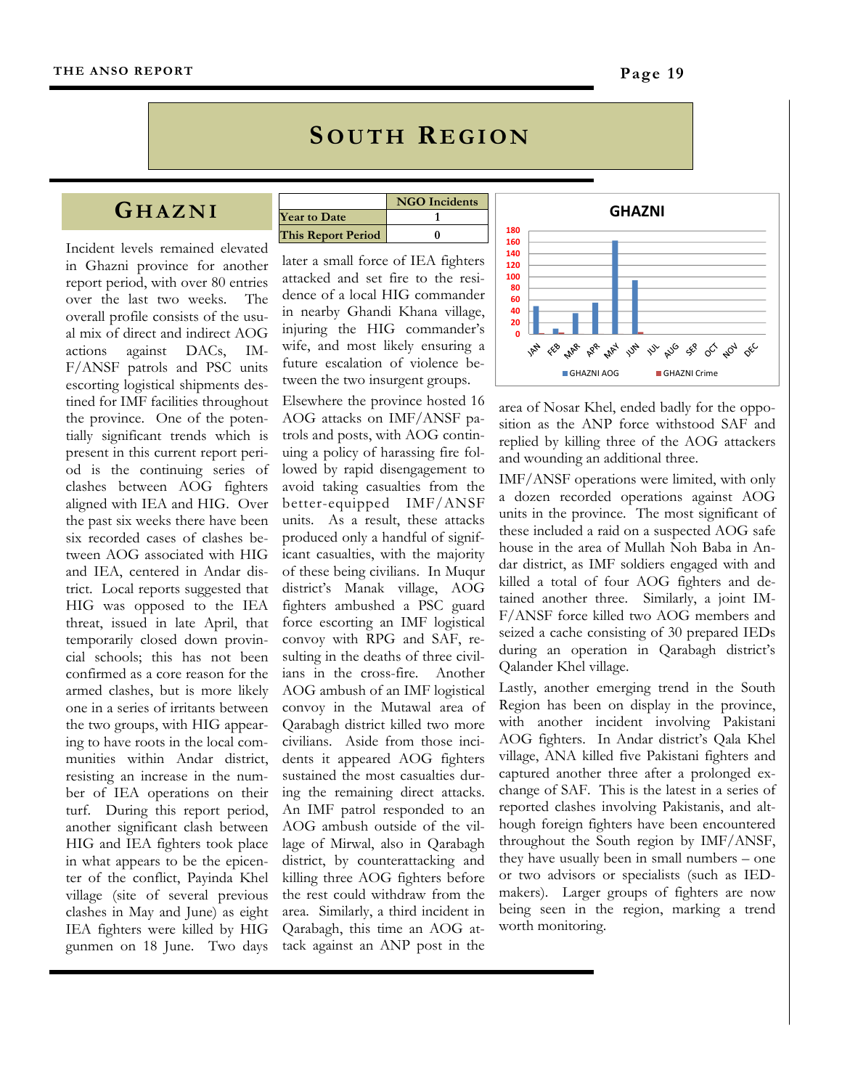## **SOUTH REGION**

#### **G HAZNI**

Incident levels remained elevated in Ghazni province for another report period, with over 80 entries over the last two weeks. The overall profile consists of the usual mix of direct and indirect AOG actions against DACs, IM-F/ANSF patrols and PSC units escorting logistical shipments destined for IMF facilities throughout the province. One of the potentially significant trends which is present in this current report period is the continuing series of clashes between AOG fighters aligned with IEA and HIG. Over the past six weeks there have been six recorded cases of clashes between AOG associated with HIG and IEA, centered in Andar district. Local reports suggested that HIG was opposed to the IEA threat, issued in late April, that temporarily closed down provincial schools; this has not been confirmed as a core reason for the armed clashes, but is more likely one in a series of irritants between the two groups, with HIG appearing to have roots in the local communities within Andar district, resisting an increase in the number of IEA operations on their turf. During this report period, another significant clash between HIG and IEA fighters took place in what appears to be the epicenter of the conflict, Payinda Khel village (site of several previous clashes in May and June) as eight IEA fighters were killed by HIG gunmen on 18 June. Two days

|                           | <b>NGO</b> Incidents |
|---------------------------|----------------------|
| <b>Year to Date</b>       |                      |
| <b>This Report Period</b> |                      |

later a small force of IEA fighters attacked and set fire to the residence of a local HIG commander in nearby Ghandi Khana village, injuring the HIG commander's wife, and most likely ensuring a future escalation of violence between the two insurgent groups.

Elsewhere the province hosted 16 AOG attacks on IMF/ANSF patrols and posts, with AOG continuing a policy of harassing fire followed by rapid disengagement to avoid taking casualties from the better-equipped IMF/ANSF units. As a result, these attacks produced only a handful of significant casualties, with the majority of these being civilians. In Muqur district's Manak village, AOG fighters ambushed a PSC guard force escorting an IMF logistical convoy with RPG and SAF, resulting in the deaths of three civilians in the cross-fire. Another AOG ambush of an IMF logistical convoy in the Mutawal area of Qarabagh district killed two more civilians. Aside from those incidents it appeared AOG fighters sustained the most casualties during the remaining direct attacks. An IMF patrol responded to an AOG ambush outside of the village of Mirwal, also in Qarabagh district, by counterattacking and killing three AOG fighters before the rest could withdraw from the area. Similarly, a third incident in Qarabagh, this time an AOG attack against an ANP post in the



area of Nosar Khel, ended badly for the opposition as the ANP force withstood SAF and replied by killing three of the AOG attackers and wounding an additional three.

IMF/ANSF operations were limited, with only a dozen recorded operations against AOG units in the province. The most significant of these included a raid on a suspected AOG safe house in the area of Mullah Noh Baba in Andar district, as IMF soldiers engaged with and killed a total of four AOG fighters and detained another three. Similarly, a joint IM-F/ANSF force killed two AOG members and seized a cache consisting of 30 prepared IEDs during an operation in Qarabagh district's Qalander Khel village.

Lastly, another emerging trend in the South Region has been on display in the province, with another incident involving Pakistani AOG fighters. In Andar district's Qala Khel village, ANA killed five Pakistani fighters and captured another three after a prolonged exchange of SAF. This is the latest in a series of reported clashes involving Pakistanis, and although foreign fighters have been encountered throughout the South region by IMF/ANSF, they have usually been in small numbers – one or two advisors or specialists (such as IEDmakers). Larger groups of fighters are now being seen in the region, marking a trend worth monitoring.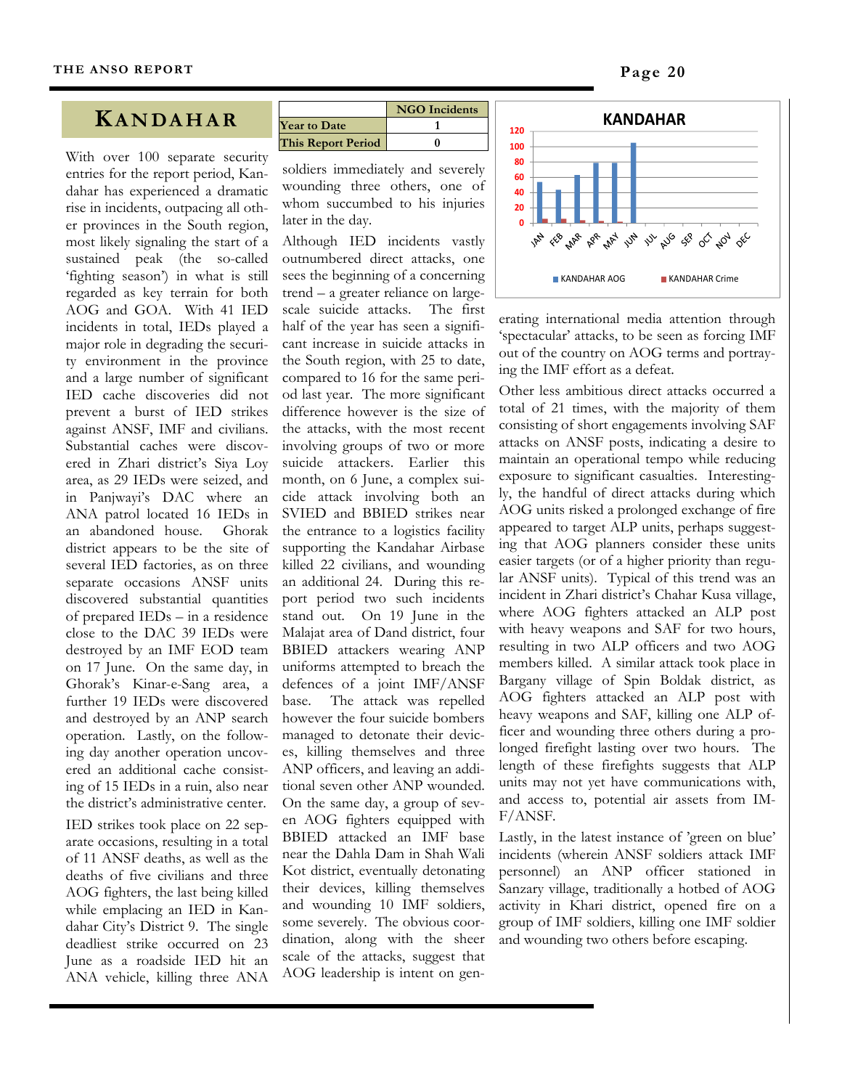#### **KANDAHAR**

With over 100 separate security entries for the report period, Kandahar has experienced a dramatic rise in incidents, outpacing all other provinces in the South region, most likely signaling the start of a sustained peak (the so-called 'fighting season') in what is still regarded as key terrain for both AOG and GOA. With 41 IED incidents in total, IEDs played a major role in degrading the security environment in the province and a large number of significant IED cache discoveries did not prevent a burst of IED strikes against ANSF, IMF and civilians. Substantial caches were discovered in Zhari district's Siya Loy area, as 29 IEDs were seized, and in Panjwayi's DAC where an ANA patrol located 16 IEDs in an abandoned house. Ghorak district appears to be the site of several IED factories, as on three separate occasions ANSF units discovered substantial quantities of prepared IEDs – in a residence close to the DAC 39 IEDs were destroyed by an IMF EOD team on 17 June. On the same day, in Ghorak's Kinar-e-Sang area, a further 19 IEDs were discovered and destroyed by an ANP search operation. Lastly, on the following day another operation uncovered an additional cache consisting of 15 IEDs in a ruin, also near the district's administrative center.

IED strikes took place on 22 separate occasions, resulting in a total of 11 ANSF deaths, as well as the deaths of five civilians and three AOG fighters, the last being killed while emplacing an IED in Kandahar City's District 9. The single deadliest strike occurred on 23 June as a roadside IED hit an ANA vehicle, killing three ANA

|                           | <b>NGO</b> Incidents |
|---------------------------|----------------------|
| <b>Year to Date</b>       |                      |
| <b>This Report Period</b> |                      |

soldiers immediately and severely wounding three others, one of whom succumbed to his injuries later in the day.

Although IED incidents vastly outnumbered direct attacks, one sees the beginning of a concerning trend – a greater reliance on largescale suicide attacks. The first half of the year has seen a significant increase in suicide attacks in the South region, with 25 to date, compared to 16 for the same period last year. The more significant difference however is the size of the attacks, with the most recent involving groups of two or more suicide attackers. Earlier this month, on 6 June, a complex suicide attack involving both an SVIED and BBIED strikes near the entrance to a logistics facility supporting the Kandahar Airbase killed 22 civilians, and wounding an additional 24. During this report period two such incidents stand out. On 19 June in the Malajat area of Dand district, four BBIED attackers wearing ANP uniforms attempted to breach the defences of a joint IMF/ANSF base. The attack was repelled however the four suicide bombers managed to detonate their devices, killing themselves and three ANP officers, and leaving an additional seven other ANP wounded. On the same day, a group of seven AOG fighters equipped with BBIED attacked an IMF base near the Dahla Dam in Shah Wali Kot district, eventually detonating their devices, killing themselves and wounding 10 IMF soldiers, some severely. The obvious coordination, along with the sheer scale of the attacks, suggest that AOG leadership is intent on gen-



erating international media attention through 'spectacular' attacks, to be seen as forcing IMF out of the country on AOG terms and portraying the IMF effort as a defeat.

Other less ambitious direct attacks occurred a total of 21 times, with the majority of them consisting of short engagements involving SAF attacks on ANSF posts, indicating a desire to maintain an operational tempo while reducing exposure to significant casualties. Interestingly, the handful of direct attacks during which AOG units risked a prolonged exchange of fire appeared to target ALP units, perhaps suggesting that AOG planners consider these units easier targets (or of a higher priority than regular ANSF units). Typical of this trend was an incident in Zhari district's Chahar Kusa village, where AOG fighters attacked an ALP post with heavy weapons and SAF for two hours, resulting in two ALP officers and two AOG members killed. A similar attack took place in Bargany village of Spin Boldak district, as AOG fighters attacked an ALP post with heavy weapons and SAF, killing one ALP officer and wounding three others during a prolonged firefight lasting over two hours. The length of these firefights suggests that ALP units may not yet have communications with, and access to, potential air assets from IM-F/ANSF.

Lastly, in the latest instance of 'green on blue' incidents (wherein ANSF soldiers attack IMF personnel) an ANP officer stationed in Sanzary village, traditionally a hotbed of AOG activity in Khari district, opened fire on a group of IMF soldiers, killing one IMF soldier and wounding two others before escaping.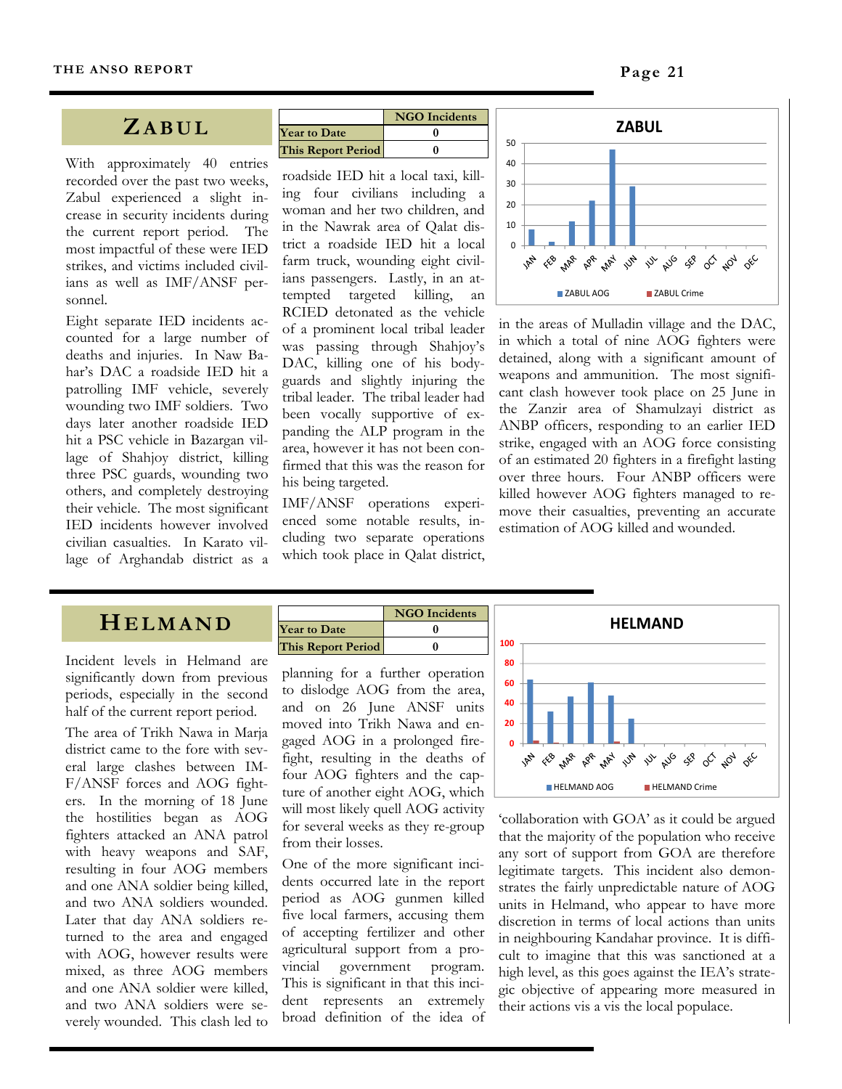#### **ZABUL**

With approximately 40 entries recorded over the past two weeks, Zabul experienced a slight increase in security incidents during the current report period. The most impactful of these were IED strikes, and victims included civilians as well as IMF/ANSF personnel.

Eight separate IED incidents accounted for a large number of deaths and injuries. In Naw Bahar's DAC a roadside IED hit a patrolling IMF vehicle, severely wounding two IMF soldiers. Two days later another roadside IED hit a PSC vehicle in Bazargan village of Shahjoy district, killing three PSC guards, wounding two others, and completely destroying their vehicle. The most significant IED incidents however involved civilian casualties. In Karato village of Arghandab district as a

|                           | <b>NGO</b> Incidents |
|---------------------------|----------------------|
| <b>Year to Date</b>       |                      |
| <b>This Report Period</b> |                      |

roadside IED hit a local taxi, killing four civilians including a woman and her two children, and in the Nawrak area of Qalat district a roadside IED hit a local farm truck, wounding eight civilians passengers. Lastly, in an attempted targeted killing, an RCIED detonated as the vehicle of a prominent local tribal leader was passing through Shahjoy's DAC, killing one of his bodyguards and slightly injuring the tribal leader. The tribal leader had been vocally supportive of expanding the ALP program in the area, however it has not been confirmed that this was the reason for his being targeted.

IMF/ANSF operations experienced some notable results, including two separate operations which took place in Qalat district,



in the areas of Mulladin village and the DAC, in which a total of nine AOG fighters were detained, along with a significant amount of weapons and ammunition. The most significant clash however took place on 25 June in the Zanzir area of Shamulzayi district as ANBP officers, responding to an earlier IED strike, engaged with an AOG force consisting of an estimated 20 fighters in a firefight lasting over three hours. Four ANBP officers were killed however AOG fighters managed to remove their casualties, preventing an accurate estimation of AOG killed and wounded.

#### **HELMAND**

Incident levels in Helmand are significantly down from previous periods, especially in the second half of the current report period.

The area of Trikh Nawa in Marja district came to the fore with several large clashes between IM-F/ANSF forces and AOG fighters. In the morning of 18 June the hostilities began as AOG fighters attacked an ANA patrol with heavy weapons and SAF, resulting in four AOG members and one ANA soldier being killed, and two ANA soldiers wounded. Later that day ANA soldiers returned to the area and engaged with AOG, however results were mixed, as three AOG members and one ANA soldier were killed, and two ANA soldiers were severely wounded. This clash led to

|                           | <b>NGO</b> Incidents |
|---------------------------|----------------------|
| <b>Year to Date</b>       |                      |
| <b>This Report Period</b> |                      |

planning for a further operation to dislodge AOG from the area, and on 26 June ANSF units moved into Trikh Nawa and engaged AOG in a prolonged firefight, resulting in the deaths of four AOG fighters and the capture of another eight AOG, which will most likely quell AOG activity for several weeks as they re-group from their losses.

One of the more significant incidents occurred late in the report period as AOG gunmen killed five local farmers, accusing them of accepting fertilizer and other agricultural support from a provincial government program. This is significant in that this incident represents an extremely broad definition of the idea of



'collaboration with GOA' as it could be argued that the majority of the population who receive any sort of support from GOA are therefore legitimate targets. This incident also demonstrates the fairly unpredictable nature of AOG units in Helmand, who appear to have more discretion in terms of local actions than units in neighbouring Kandahar province. It is difficult to imagine that this was sanctioned at a high level, as this goes against the IEA's strategic objective of appearing more measured in their actions vis a vis the local populace.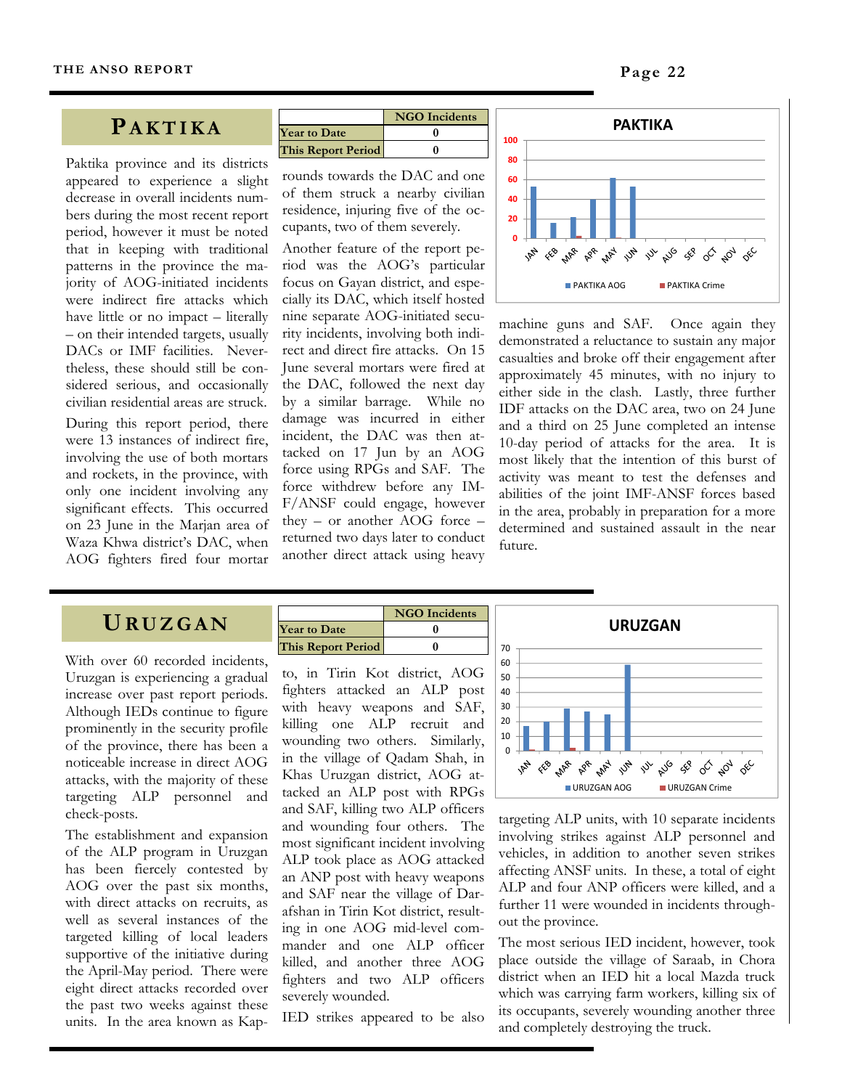#### **PAKTIKA**

Paktika province and its districts appeared to experience a slight decrease in overall incidents numbers during the most recent report period, however it must be noted that in keeping with traditional patterns in the province the majority of AOG-initiated incidents were indirect fire attacks which have little or no impact – literally – on their intended targets, usually DACs or IMF facilities. Nevertheless, these should still be considered serious, and occasionally civilian residential areas are struck.

During this report period, there were 13 instances of indirect fire, involving the use of both mortars and rockets, in the province, with only one incident involving any significant effects. This occurred on 23 June in the Marjan area of Waza Khwa district's DAC, when AOG fighters fired four mortar

|                           | <b>NGO</b> Incidents |
|---------------------------|----------------------|
| <b>Year to Date</b>       |                      |
| <b>This Report Period</b> |                      |

rounds towards the DAC and one of them struck a nearby civilian residence, injuring five of the occupants, two of them severely.

Another feature of the report period was the AOG's particular focus on Gayan district, and especially its DAC, which itself hosted nine separate AOG-initiated security incidents, involving both indirect and direct fire attacks. On 15 June several mortars were fired at the DAC, followed the next day by a similar barrage. While no damage was incurred in either incident, the DAC was then attacked on 17 Jun by an AOG force using RPGs and SAF. The force withdrew before any IM-F/ANSF could engage, however they – or another AOG force – returned two days later to conduct another direct attack using heavy



machine guns and SAF. Once again they demonstrated a reluctance to sustain any major casualties and broke off their engagement after approximately 45 minutes, with no injury to either side in the clash. Lastly, three further IDF attacks on the DAC area, two on 24 June and a third on 25 June completed an intense 10-day period of attacks for the area. It is most likely that the intention of this burst of activity was meant to test the defenses and abilities of the joint IMF-ANSF forces based in the area, probably in preparation for a more determined and sustained assault in the near future.

#### **URUZGAN**

With over 60 recorded incidents, Uruzgan is experiencing a gradual increase over past report periods. Although IEDs continue to figure prominently in the security profile of the province, there has been a noticeable increase in direct AOG attacks, with the majority of these targeting ALP personnel and check-posts.

The establishment and expansion of the ALP program in Uruzgan has been fiercely contested by AOG over the past six months, with direct attacks on recruits, as well as several instances of the targeted killing of local leaders supportive of the initiative during the April-May period. There were eight direct attacks recorded over the past two weeks against these units. In the area known as Kap-

|                           | <b>NGO</b> Incidents |
|---------------------------|----------------------|
| <b>Year to Date</b>       |                      |
| <b>This Report Period</b> |                      |

to, in Tirin Kot district, AOG fighters attacked an ALP post with heavy weapons and SAF, killing one ALP recruit and wounding two others. Similarly, in the village of Qadam Shah, in Khas Uruzgan district, AOG attacked an ALP post with RPGs and SAF, killing two ALP officers and wounding four others. The most significant incident involving ALP took place as AOG attacked an ANP post with heavy weapons and SAF near the village of Darafshan in Tirin Kot district, resulting in one AOG mid-level commander and one ALP officer killed, and another three AOG fighters and two ALP officers severely wounded.

IED strikes appeared to be also



targeting ALP units, with 10 separate incidents involving strikes against ALP personnel and vehicles, in addition to another seven strikes affecting ANSF units. In these, a total of eight ALP and four ANP officers were killed, and a further 11 were wounded in incidents throughout the province.

The most serious IED incident, however, took place outside the village of Saraab, in Chora district when an IED hit a local Mazda truck which was carrying farm workers, killing six of its occupants, severely wounding another three and completely destroying the truck.